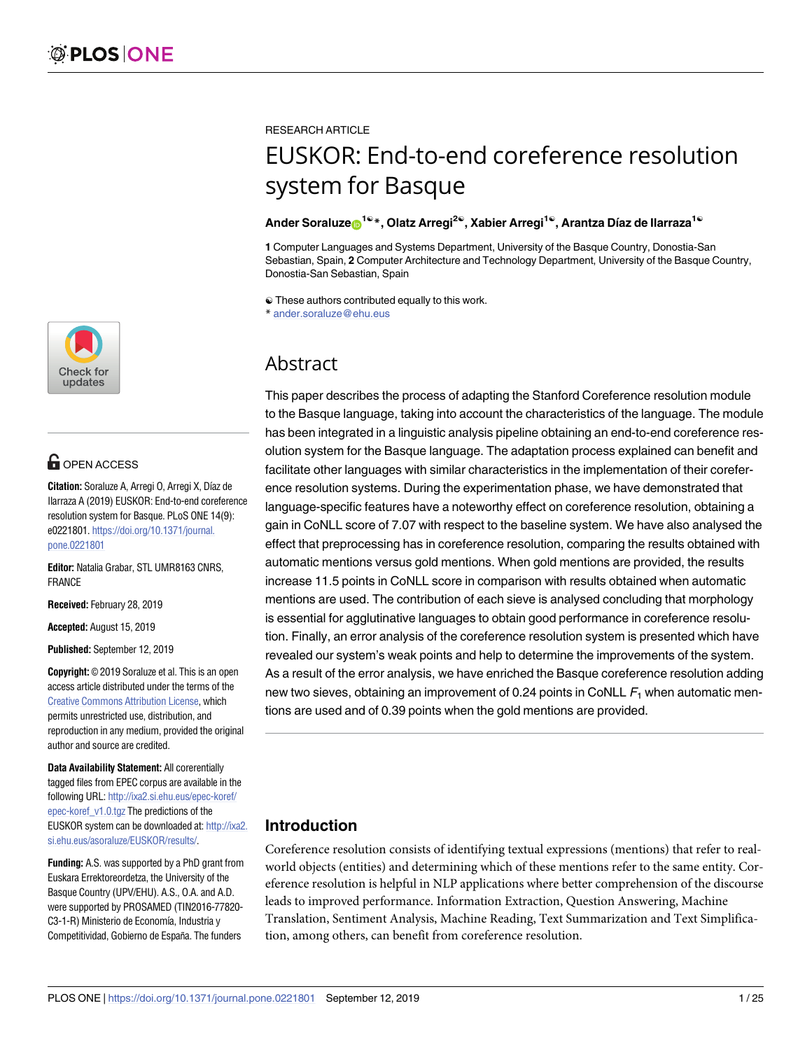

# **OPEN ACCESS**

**Citation:** Soraluze A, Arregi O, Arregi X, Dı´az de Ilarraza A (2019) EUSKOR: End-to-end coreference resolution system for Basque. PLoS ONE 14(9): e0221801. [https://doi.org/10.1371/journal.](https://doi.org/10.1371/journal.pone.0221801) [pone.0221801](https://doi.org/10.1371/journal.pone.0221801)

**Editor:** Natalia Grabar, STL UMR8163 CNRS, FRANCE

**Received:** February 28, 2019

**Accepted:** August 15, 2019

**Published:** September 12, 2019

**Copyright:** © 2019 Soraluze et al. This is an open access article distributed under the terms of the Creative Commons [Attribution](http://creativecommons.org/licenses/by/4.0/) License, which permits unrestricted use, distribution, and reproduction in any medium, provided the original author and source are credited.

**Data Availability Statement:** All corerentially tagged files from EPEC corpus are available in the following URL: [http://ixa2.si.ehu.eus/epec-koref/](http://ixa2.si.ehu.eus/epec-koref/epec-koref_v1.0.tgz) [epec-koref\\_v1.0.tgz](http://ixa2.si.ehu.eus/epec-koref/epec-koref_v1.0.tgz) The predictions of the EUSKOR system can be downloaded at: [http://ixa2.](http://ixa2.si.ehu.eus/asoraluze/EUSKOR/results/) [si.ehu.eus/asoraluze/EUSKOR/results/](http://ixa2.si.ehu.eus/asoraluze/EUSKOR/results/).

**Funding:** A.S. was supported by a PhD grant from Euskara Errektoreordetza, the University of the Basque Country (UPV/EHU). A.S., O.A. and A.D. were supported by PROSAMED (TIN2016-77820- C3-1-R) Ministerio de Economía, Industria y Competitividad, Gobierno de España. The funders

RESEARCH ARTICLE

# EUSKOR: End-to-end coreference resolution system for Basque

# **Ander Soraluze[ID1](http://orcid.org/0000-0002-7655-6633)**☯**\*, Olatz Arregi2**☯**, Xabier Arregi1**☯**, Arantza Dı´az de Ilarraza1**☯

**1** Computer Languages and Systems Department, University of the Basque Country, Donostia-San Sebastian, Spain, **2** Computer Architecture and Technology Department, University of the Basque Country, Donostia-San Sebastian, Spain

☯ These authors contributed equally to this work. \* ander.soraluze@ehu.eus

# Abstract

This paper describes the process of adapting the Stanford Coreference resolution module to the Basque language, taking into account the characteristics of the language. The module has been integrated in a linguistic analysis pipeline obtaining an end-to-end coreference resolution system for the Basque language. The adaptation process explained can benefit and facilitate other languages with similar characteristics in the implementation of their coreference resolution systems. During the experimentation phase, we have demonstrated that language-specific features have a noteworthy effect on coreference resolution, obtaining a gain in CoNLL score of 7.07 with respect to the baseline system. We have also analysed the effect that preprocessing has in coreference resolution, comparing the results obtained with automatic mentions versus gold mentions. When gold mentions are provided, the results increase 11.5 points in CoNLL score in comparison with results obtained when automatic mentions are used. The contribution of each sieve is analysed concluding that morphology is essential for agglutinative languages to obtain good performance in coreference resolution. Finally, an error analysis of the coreference resolution system is presented which have revealed our system's weak points and help to determine the improvements of the system. As a result of the error analysis, we have enriched the Basque coreference resolution adding new two sieves, obtaining an improvement of 0.24 points in CoNLL  $F_1$  when automatic mentions are used and of 0.39 points when the gold mentions are provided.

# **Introduction**

Coreference resolution consists of identifying textual expressions (mentions) that refer to realworld objects (entities) and determining which of these mentions refer to the same entity. Coreference resolution is helpful in NLP applications where better comprehension of the discourse leads to improved performance. Information Extraction, Question Answering, Machine Translation, Sentiment Analysis, Machine Reading, Text Summarization and Text Simplification, among others, can benefit from coreference resolution.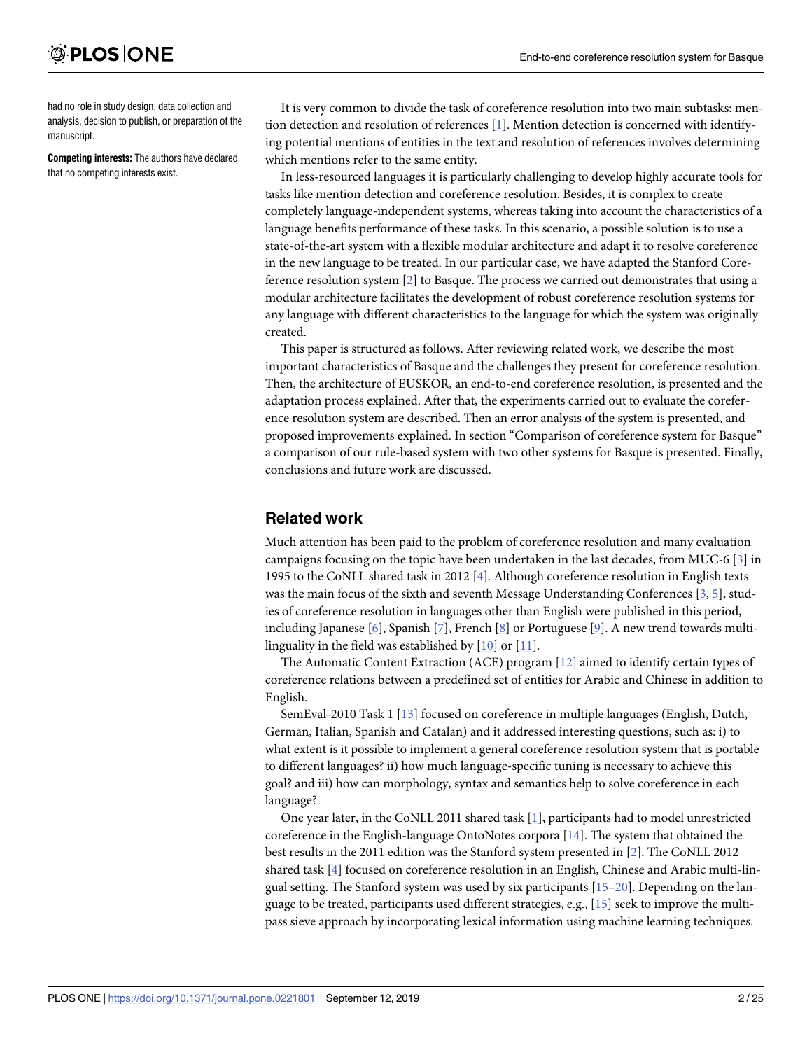<span id="page-1-0"></span>had no role in study design, data collection and analysis, decision to publish, or preparation of the manuscript.

**Competing interests:** The authors have declared that no competing interests exist.

It is very common to divide the task of coreference resolution into two main subtasks: mention detection and resolution of references [\[1\]](#page-21-0). Mention detection is concerned with identifying potential mentions of entities in the text and resolution of references involves determining which mentions refer to the same entity.

In less-resourced languages it is particularly challenging to develop highly accurate tools for tasks like mention detection and coreference resolution. Besides, it is complex to create completely language-independent systems, whereas taking into account the characteristics of a language benefits performance of these tasks. In this scenario, a possible solution is to use a state-of-the-art system with a flexible modular architecture and adapt it to resolve coreference in the new language to be treated. In our particular case, we have adapted the Stanford Coreference resolution system [[2\]](#page-21-0) to Basque. The process we carried out demonstrates that using a modular architecture facilitates the development of robust coreference resolution systems for any language with different characteristics to the language for which the system was originally created.

This paper is structured as follows. After reviewing related work, we describe the most important characteristics of Basque and the challenges they present for coreference resolution. Then, the architecture of EUSKOR, an end-to-end coreference resolution, is presented and the adaptation process explained. After that, the experiments carried out to evaluate the coreference resolution system are described. Then an error analysis of the system is presented, and proposed improvements explained. In section "Comparison of coreference system for Basque" a comparison of our rule-based system with two other systems for Basque is presented. Finally, conclusions and future work are discussed.

## **Related work**

Much attention has been paid to the problem of coreference resolution and many evaluation campaigns focusing on the topic have been undertaken in the last decades, from MUC-6 [[3\]](#page-21-0) in 1995 to the CoNLL shared task in 2012 [[4\]](#page-21-0). Although coreference resolution in English texts was the main focus of the sixth and seventh Message Understanding Conferences  $[3, 5]$  $[3, 5]$  $[3, 5]$ , studies of coreference resolution in languages other than English were published in this period, including Japanese [[6\]](#page-21-0), Spanish [\[7\]](#page-21-0), French [[8](#page-21-0)] or Portuguese [\[9](#page-22-0)]. A new trend towards multilinguality in the field was established by  $[10]$  $[10]$  $[10]$  or  $[11]$ .

The Automatic Content Extraction (ACE) program [\[12\]](#page-22-0) aimed to identify certain types of coreference relations between a predefined set of entities for Arabic and Chinese in addition to English.

SemEval-2010 Task 1 [[13](#page-22-0)] focused on coreference in multiple languages (English, Dutch, German, Italian, Spanish and Catalan) and it addressed interesting questions, such as: i) to what extent is it possible to implement a general coreference resolution system that is portable to different languages? ii) how much language-specific tuning is necessary to achieve this goal? and iii) how can morphology, syntax and semantics help to solve coreference in each language?

One year later, in the CoNLL 2011 shared task [\[1\]](#page-21-0), participants had to model unrestricted coreference in the English-language OntoNotes corpora [[14](#page-22-0)]. The system that obtained the best results in the 2011 edition was the Stanford system presented in [[2](#page-21-0)]. The CoNLL 2012 shared task [\[4\]](#page-21-0) focused on coreference resolution in an English, Chinese and Arabic multi-lingual setting. The Stanford system was used by six participants [\[15–20\]](#page-22-0). Depending on the language to be treated, participants used different strategies, e.g., [[15](#page-22-0)] seek to improve the multipass sieve approach by incorporating lexical information using machine learning techniques.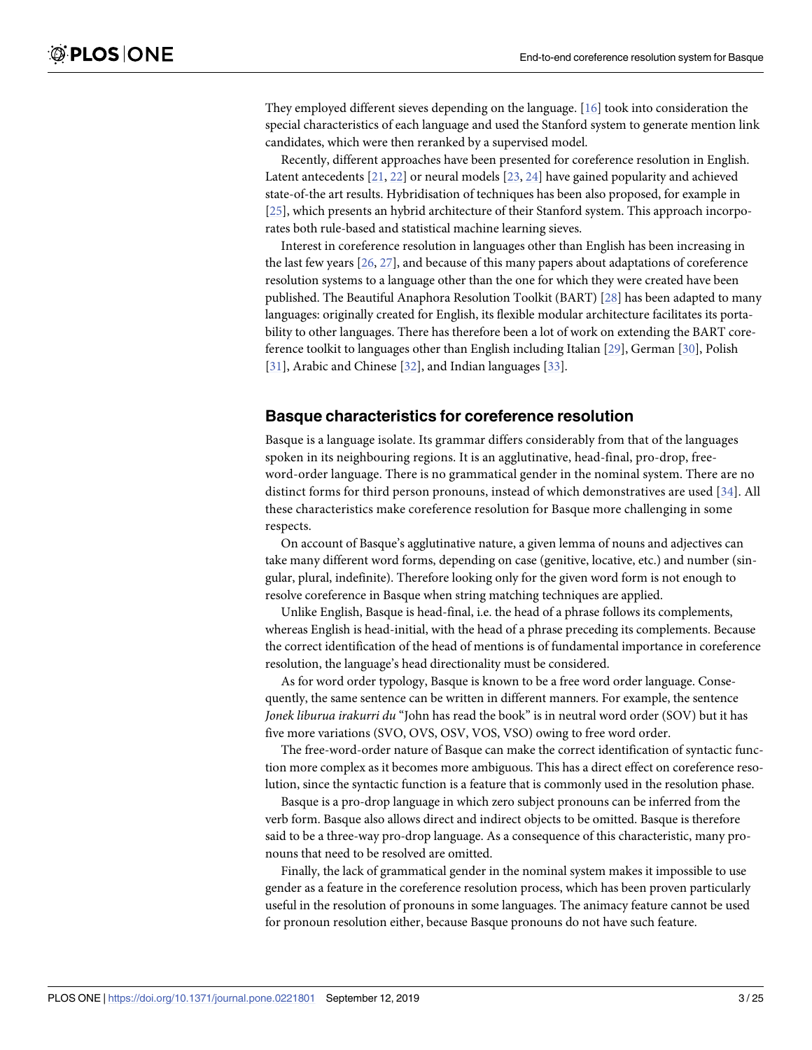<span id="page-2-0"></span>They employed different sieves depending on the language. [[16](#page-22-0)] took into consideration the special characteristics of each language and used the Stanford system to generate mention link candidates, which were then reranked by a supervised model.

Recently, different approaches have been presented for coreference resolution in English. Latent antecedents [\[21,](#page-22-0) [22\]](#page-22-0) or neural models [[23](#page-22-0), [24](#page-22-0)] have gained popularity and achieved state-of-the art results. Hybridisation of techniques has been also proposed, for example in [\[25\]](#page-22-0), which presents an hybrid architecture of their Stanford system. This approach incorporates both rule-based and statistical machine learning sieves.

Interest in coreference resolution in languages other than English has been increasing in the last few years [\[26,](#page-22-0) [27\]](#page-22-0), and because of this many papers about adaptations of coreference resolution systems to a language other than the one for which they were created have been published. The Beautiful Anaphora Resolution Toolkit (BART) [\[28\]](#page-22-0) has been adapted to many languages: originally created for English, its flexible modular architecture facilitates its portability to other languages. There has therefore been a lot of work on extending the BART coreference toolkit to languages other than English including Italian [[29](#page-23-0)], German [[30](#page-23-0)], Polish [\[31\]](#page-23-0), Arabic and Chinese [[32](#page-23-0)], and Indian languages [\[33\]](#page-23-0).

#### **Basque characteristics for coreference resolution**

Basque is a language isolate. Its grammar differs considerably from that of the languages spoken in its neighbouring regions. It is an agglutinative, head-final, pro-drop, freeword-order language. There is no grammatical gender in the nominal system. There are no distinct forms for third person pronouns, instead of which demonstratives are used [[34](#page-23-0)]. All these characteristics make coreference resolution for Basque more challenging in some respects.

On account of Basque's agglutinative nature, a given lemma of nouns and adjectives can take many different word forms, depending on case (genitive, locative, etc.) and number (singular, plural, indefinite). Therefore looking only for the given word form is not enough to resolve coreference in Basque when string matching techniques are applied.

Unlike English, Basque is head-final, i.e. the head of a phrase follows its complements, whereas English is head-initial, with the head of a phrase preceding its complements. Because the correct identification of the head of mentions is of fundamental importance in coreference resolution, the language's head directionality must be considered.

As for word order typology, Basque is known to be a free word order language. Consequently, the same sentence can be written in different manners. For example, the sentence *Jonek liburua irakurri du* "John has read the book" is in neutral word order (SOV) but it has five more variations (SVO, OVS, OSV, VOS, VSO) owing to free word order.

The free-word-order nature of Basque can make the correct identification of syntactic function more complex as it becomes more ambiguous. This has a direct effect on coreference resolution, since the syntactic function is a feature that is commonly used in the resolution phase.

Basque is a pro-drop language in which zero subject pronouns can be inferred from the verb form. Basque also allows direct and indirect objects to be omitted. Basque is therefore said to be a three-way pro-drop language. As a consequence of this characteristic, many pronouns that need to be resolved are omitted.

Finally, the lack of grammatical gender in the nominal system makes it impossible to use gender as a feature in the coreference resolution process, which has been proven particularly useful in the resolution of pronouns in some languages. The animacy feature cannot be used for pronoun resolution either, because Basque pronouns do not have such feature.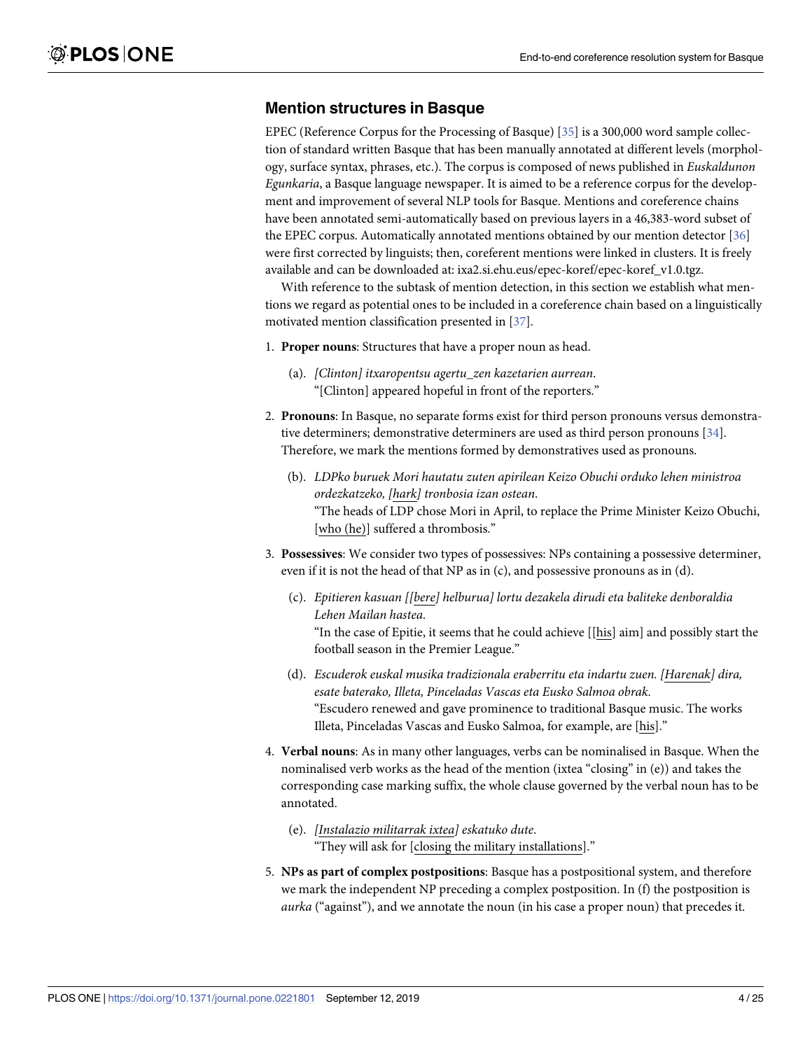### <span id="page-3-0"></span>**Mention structures in Basque**

EPEC (Reference Corpus for the Processing of Basque) [[35](#page-23-0)] is a 300,000 word sample collection of standard written Basque that has been manually annotated at different levels (morphology, surface syntax, phrases, etc.). The corpus is composed of news published in *Euskaldunon Egunkaria*, a Basque language newspaper. It is aimed to be a reference corpus for the development and improvement of several NLP tools for Basque. Mentions and coreference chains have been annotated semi-automatically based on previous layers in a 46,383-word subset of the EPEC corpus. Automatically annotated mentions obtained by our mention detector [\[36\]](#page-23-0) were first corrected by linguists; then, coreferent mentions were linked in clusters. It is freely available and can be downloaded at: ixa2.si.ehu.eus/epec-koref/epec-koref\_v1.0.tgz.

With reference to the subtask of mention detection, in this section we establish what mentions we regard as potential ones to be included in a coreference chain based on a linguistically motivated mention classification presented in [\[37\]](#page-23-0).

1. **Proper nouns**: Structures that have a proper noun as head.

- (a). *[Clinton] itxaropentsu agertu\_zen kazetarien aurrean*. "[Clinton] appeared hopeful in front of the reporters."
- 2. **Pronouns**: In Basque, no separate forms exist for third person pronouns versus demonstrative determiners; demonstrative determiners are used as third person pronouns [[34](#page-23-0)]. Therefore, we mark the mentions formed by demonstratives used as pronouns.
	- (b). *LDPko buruek Mori hautatu zuten apirilean Keizo Obuchi orduko lehen ministroa ordezkatzeko, [hark] tronbosia izan ostean*. "The heads of LDP chose Mori in April, to replace the Prime Minister Keizo Obuchi, [who (he)] suffered a thrombosis."
- 3. **Possessives**: We consider two types of possessives: NPs containing a possessive determiner, even if it is not the head of that NP as in (c), and possessive pronouns as in (d).
	- (c). *Epitieren kasuan [[bere] helburua] lortu dezakela dirudi eta baliteke denboraldia Lehen Mailan hastea*. "In the case of Epitie, it seems that he could achieve [[his] aim] and possibly start the football season in the Premier League."
	- (d). *Escuderok euskal musika tradizionala eraberritu eta indartu zuen. [Harenak] dira, esate baterako, Illeta, Pinceladas Vascas eta Eusko Salmoa obrak*. "Escudero renewed and gave prominence to traditional Basque music. The works Illeta, Pinceladas Vascas and Eusko Salmoa, for example, are [his]."
- 4. **Verbal nouns**: As in many other languages, verbs can be nominalised in Basque. When the nominalised verb works as the head of the mention (ixtea "closing" in (e)) and takes the corresponding case marking suffix, the whole clause governed by the verbal noun has to be annotated.
	- (e). *[Instalazio militarrak ixtea] eskatuko dute*. "They will ask for [closing the military installations]."
- 5. **NPs as part of complex postpositions**: Basque has a postpositional system, and therefore we mark the independent NP preceding a complex postposition. In (f) the postposition is *aurka* ("against"), and we annotate the noun (in his case a proper noun) that precedes it.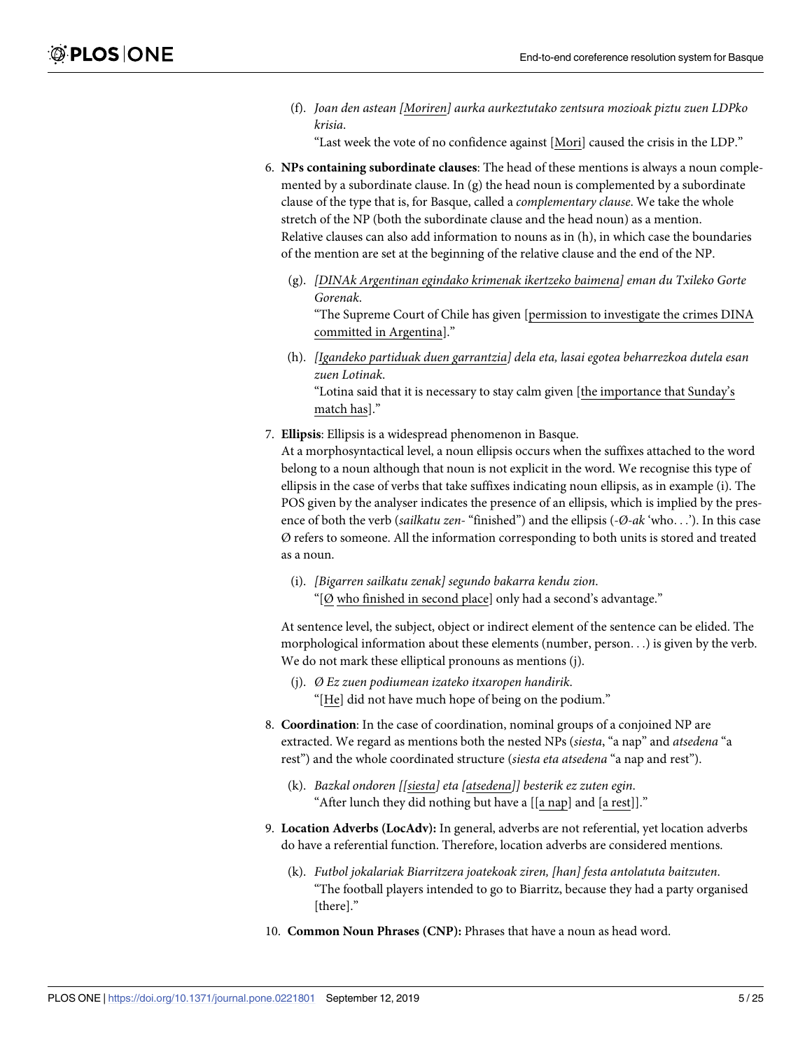(f). *Joan den astean [Moriren] aurka aurkeztutako zentsura mozioak piztu zuen LDPko krisia*.

"Last week the vote of no confidence against [Mori] caused the crisis in the LDP."

- 6. **NPs containing subordinate clauses**: The head of these mentions is always a noun complemented by a subordinate clause. In  $(g)$  the head noun is complemented by a subordinate clause of the type that is, for Basque, called a *complementary clause*. We take the whole stretch of the NP (both the subordinate clause and the head noun) as a mention. Relative clauses can also add information to nouns as in (h), in which case the boundaries of the mention are set at the beginning of the relative clause and the end of the NP.
	- (g). *[DINAk Argentinan egindako krimenak ikertzeko baimena] eman du Txileko Gorte Gorenak*.

"The Supreme Court of Chile has given [permission to investigate the crimes DINA committed in Argentina]."

(h). *[Igandeko partiduak duen garrantzia] dela eta, lasai egotea beharrezkoa dutela esan zuen Lotinak*.

"Lotina said that it is necessary to stay calm given [the importance that Sunday's match has]."

7. **Ellipsis**: Ellipsis is a widespread phenomenon in Basque.

At a morphosyntactical level, a noun ellipsis occurs when the suffixes attached to the word belong to a noun although that noun is not explicit in the word. We recognise this type of ellipsis in the case of verbs that take suffixes indicating noun ellipsis, as in example (i). The POS given by the analyser indicates the presence of an ellipsis, which is implied by the presence of both the verb (*sailkatu zen-* "finished") and the ellipsis (*-Ø-ak* 'who. . .'). In this case Ø refers to someone. All the information corresponding to both units is stored and treated as a noun.

(i). *[Bigarren sailkatu zenak] segundo bakarra kendu zion*. "[Ø who finished in second place] only had a second's advantage."

At sentence level, the subject, object or indirect element of the sentence can be elided. The morphological information about these elements (number, person. . .) is given by the verb. We do not mark these elliptical pronouns as mentions (j).

- (j). *Ø Ez zuen podiumean izateko itxaropen handirik*. "[He] did not have much hope of being on the podium."
- 8. **Coordination**: In the case of coordination, nominal groups of a conjoined NP are extracted. We regard as mentions both the nested NPs (*siesta*, "a nap" and *atsedena* "a rest") and the whole coordinated structure (*siesta eta atsedena* "a nap and rest").
	- (k). *Bazkal ondoren [[siesta] eta [atsedena]] besterik ez zuten egin*. "After lunch they did nothing but have a [[a nap] and [a rest]]."
- 9. **Location Adverbs (LocAdv):** In general, adverbs are not referential, yet location adverbs do have a referential function. Therefore, location adverbs are considered mentions.
	- (k). *Futbol jokalariak Biarritzera joatekoak ziren, [han] festa antolatuta baitzuten*. "The football players intended to go to Biarritz, because they had a party organised [there]."
- 10. **Common Noun Phrases (CNP):** Phrases that have a noun as head word.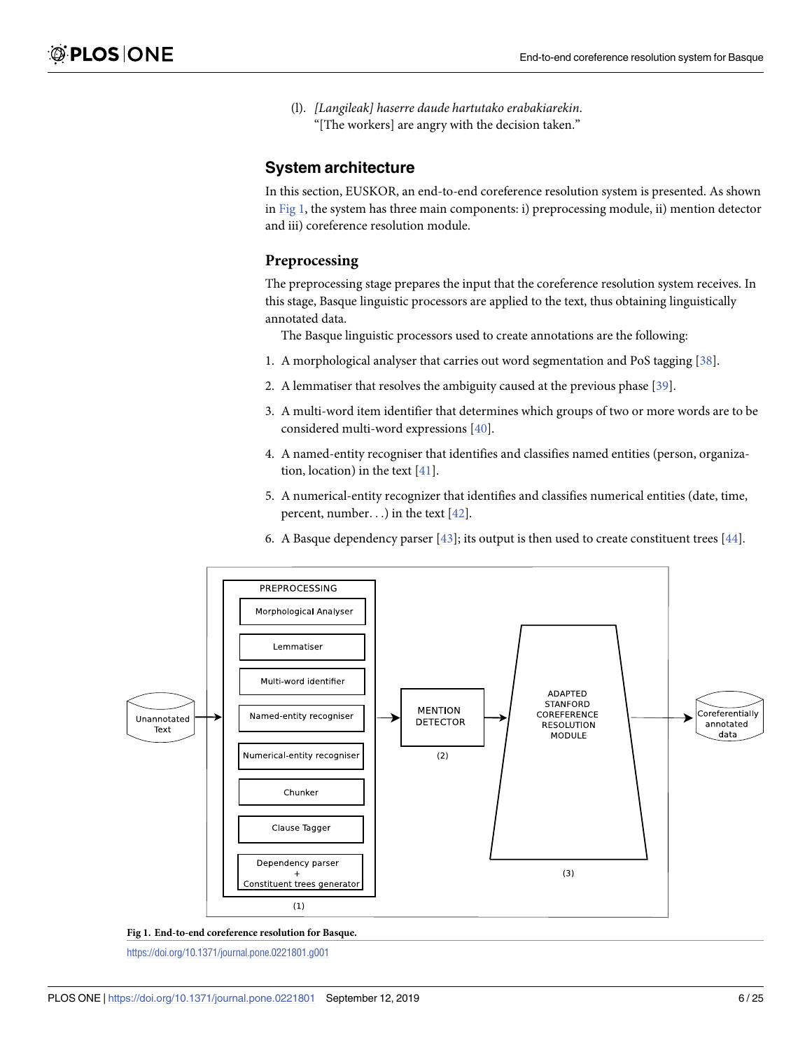<span id="page-5-0"></span>(l). *[Langileak] haserre daude hartutako erabakiarekin*. "[The workers] are angry with the decision taken."

#### **System architecture**

In this section, EUSKOR, an end-to-end coreference resolution system is presented. As shown in Fig 1, the system has three main components: i) preprocessing module, ii) mention detector and iii) coreference resolution module.

#### **Preprocessing**

The preprocessing stage prepares the input that the coreference resolution system receives. In this stage, Basque linguistic processors are applied to the text, thus obtaining linguistically annotated data.

The Basque linguistic processors used to create annotations are the following:

- 1. A morphological analyser that carries out word segmentation and PoS tagging [[38](#page-23-0)].
- 2. A lemmatiser that resolves the ambiguity caused at the previous phase [[39](#page-23-0)].
- 3. A multi-word item identifier that determines which groups of two or more words are to be considered multi-word expressions [[40](#page-23-0)].
- 4. A named-entity recogniser that identifies and classifies named entities (person, organization, location) in the text  $[41]$ .
- 5. A numerical-entity recognizer that identifies and classifies numerical entities (date, time, percent, number...) in the text  $[42]$ .
- 6. A Basque dependency parser  $[43]$ ; its output is then used to create constituent trees  $[44]$ .



**Fig 1. End-to-end coreference resolution for Basque.**

<https://doi.org/10.1371/journal.pone.0221801.g001>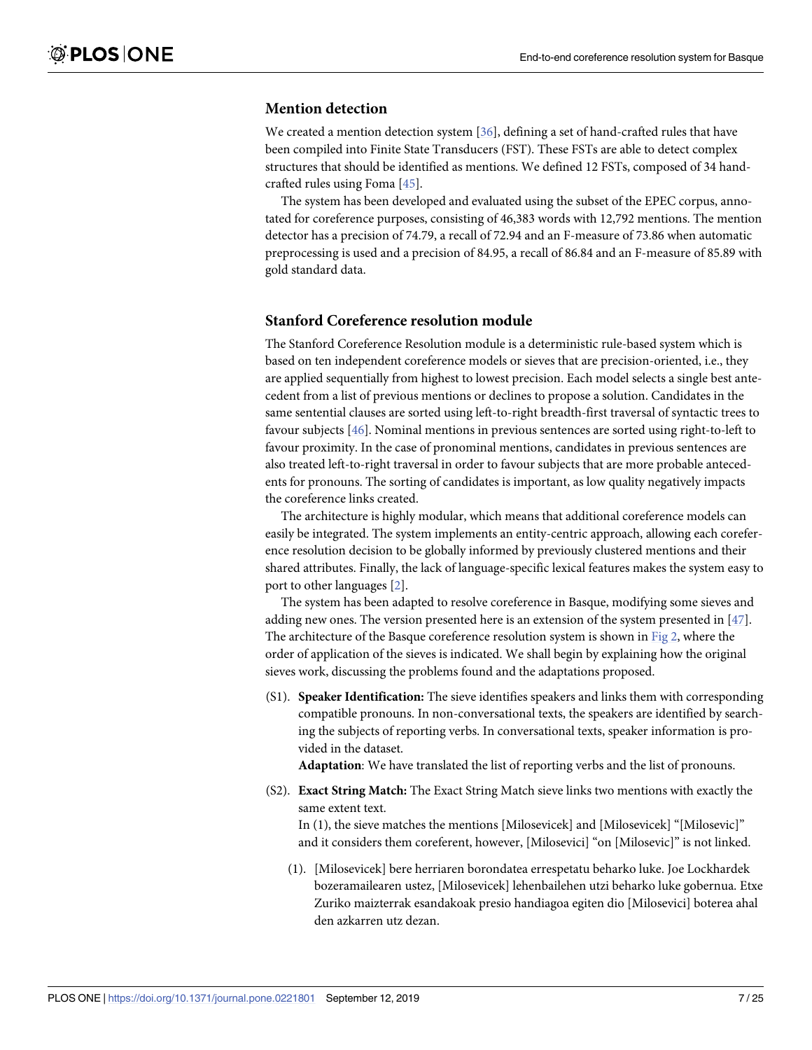#### <span id="page-6-0"></span>**Mention detection**

We created a mention detection system [\[36\]](#page-23-0), defining a set of hand-crafted rules that have been compiled into Finite State Transducers (FST). These FSTs are able to detect complex structures that should be identified as mentions. We defined 12 FSTs, composed of 34 handcrafted rules using Foma [[45](#page-23-0)].

The system has been developed and evaluated using the subset of the EPEC corpus, annotated for coreference purposes, consisting of 46,383 words with 12,792 mentions. The mention detector has a precision of 74.79, a recall of 72.94 and an F-measure of 73.86 when automatic preprocessing is used and a precision of 84.95, a recall of 86.84 and an F-measure of 85.89 with gold standard data.

#### **Stanford Coreference resolution module**

The Stanford Coreference Resolution module is a deterministic rule-based system which is based on ten independent coreference models or sieves that are precision-oriented, i.e., they are applied sequentially from highest to lowest precision. Each model selects a single best antecedent from a list of previous mentions or declines to propose a solution. Candidates in the same sentential clauses are sorted using left-to-right breadth-first traversal of syntactic trees to favour subjects [\[46\]](#page-23-0). Nominal mentions in previous sentences are sorted using right-to-left to favour proximity. In the case of pronominal mentions, candidates in previous sentences are also treated left-to-right traversal in order to favour subjects that are more probable antecedents for pronouns. The sorting of candidates is important, as low quality negatively impacts the coreference links created.

The architecture is highly modular, which means that additional coreference models can easily be integrated. The system implements an entity-centric approach, allowing each coreference resolution decision to be globally informed by previously clustered mentions and their shared attributes. Finally, the lack of language-specific lexical features makes the system easy to port to other languages [[2](#page-21-0)].

The system has been adapted to resolve coreference in Basque, modifying some sieves and adding new ones. The version presented here is an extension of the system presented in [[47](#page-23-0)]. The architecture of the Basque coreference resolution system is shown in [Fig](#page-7-0) 2, where the order of application of the sieves is indicated. We shall begin by explaining how the original sieves work, discussing the problems found and the adaptations proposed.

(S1). **Speaker Identification:** The sieve identifies speakers and links them with corresponding compatible pronouns. In non-conversational texts, the speakers are identified by searching the subjects of reporting verbs. In conversational texts, speaker information is provided in the dataset.

**Adaptation**: We have translated the list of reporting verbs and the list of pronouns.

(S2). **Exact String Match:** The Exact String Match sieve links two mentions with exactly the same extent text.

In (1), the sieve matches the mentions [Milosevicek] and [Milosevicek] "[Milosevic]" and it considers them coreferent, however, [Milosevici] "on [Milosevic]" is not linked.

(1). [Milosevicek] bere herriaren borondatea errespetatu beharko luke. Joe Lockhardek bozeramailearen ustez, [Milosevicek] lehenbailehen utzi beharko luke gobernua. Etxe Zuriko maizterrak esandakoak presio handiagoa egiten dio [Milosevici] boterea ahal den azkarren utz dezan.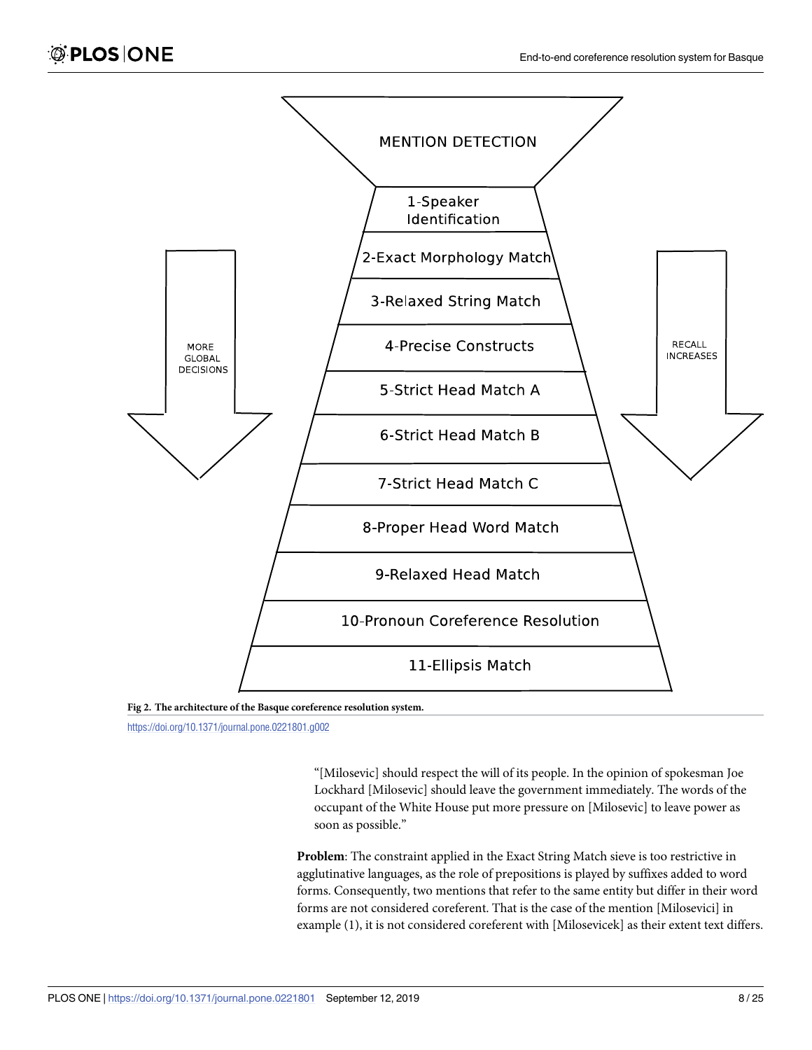<span id="page-7-0"></span>

**[Fig](#page-6-0) 2. The architecture of the Basque coreference resolution system.**

<https://doi.org/10.1371/journal.pone.0221801.g002>

"[Milosevic] should respect the will of its people. In the opinion of spokesman Joe Lockhard [Milosevic] should leave the government immediately. The words of the occupant of the White House put more pressure on [Milosevic] to leave power as soon as possible."

**Problem**: The constraint applied in the Exact String Match sieve is too restrictive in agglutinative languages, as the role of prepositions is played by suffixes added to word forms. Consequently, two mentions that refer to the same entity but differ in their word forms are not considered coreferent. That is the case of the mention [Milosevici] in example (1), it is not considered coreferent with [Milosevicek] as their extent text differs.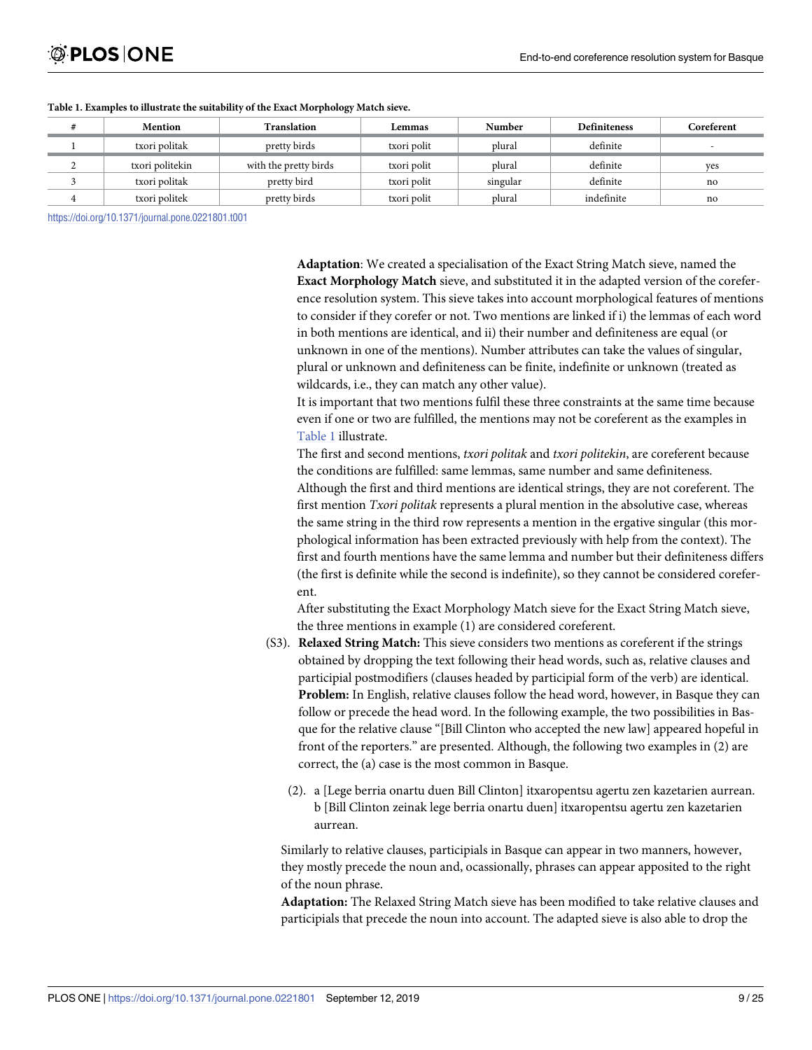| Mention         | Translation           | Lemmas      | <b>Number</b> | <b>Definiteness</b> | Coreferent |
|-----------------|-----------------------|-------------|---------------|---------------------|------------|
| txori politak   | pretty birds          | txori polit | plural        | definite            | $\sim$     |
| txori politekin | with the pretty birds | txori polit | plural        | definite            | ves        |
| txori politak   | pretty bird           | txori polit | singular      | definite            | no         |
| txori politek   | pretty birds          | txori polit | plural        | indefinite          | no         |

#### **Table 1. Examples to illustrate the suitability of the Exact Morphology Match sieve.**

<https://doi.org/10.1371/journal.pone.0221801.t001>

**Adaptation**: We created a specialisation of the Exact String Match sieve, named the **Exact Morphology Match** sieve, and substituted it in the adapted version of the coreference resolution system. This sieve takes into account morphological features of mentions to consider if they corefer or not. Two mentions are linked if i) the lemmas of each word in both mentions are identical, and ii) their number and definiteness are equal (or unknown in one of the mentions). Number attributes can take the values of singular, plural or unknown and definiteness can be finite, indefinite or unknown (treated as wildcards, i.e., they can match any other value).

It is important that two mentions fulfil these three constraints at the same time because even if one or two are fulfilled, the mentions may not be coreferent as the examples in Table 1 illustrate.

The first and second mentions, *txori politak* and *txori politekin*, are coreferent because the conditions are fulfilled: same lemmas, same number and same definiteness. Although the first and third mentions are identical strings, they are not coreferent. The first mention *Txori politak* represents a plural mention in the absolutive case, whereas the same string in the third row represents a mention in the ergative singular (this morphological information has been extracted previously with help from the context). The first and fourth mentions have the same lemma and number but their definiteness differs (the first is definite while the second is indefinite), so they cannot be considered coreferent.

After substituting the Exact Morphology Match sieve for the Exact String Match sieve, the three mentions in example (1) are considered coreferent.

- (S3). **Relaxed String Match:** This sieve considers two mentions as coreferent if the strings obtained by dropping the text following their head words, such as, relative clauses and participial postmodifiers (clauses headed by participial form of the verb) are identical. **Problem:** In English, relative clauses follow the head word, however, in Basque they can follow or precede the head word. In the following example, the two possibilities in Basque for the relative clause "[Bill Clinton who accepted the new law] appeared hopeful in front of the reporters." are presented. Although, the following two examples in (2) are correct, the (a) case is the most common in Basque.
	- (2). a [Lege berria onartu duen Bill Clinton] itxaropentsu agertu zen kazetarien aurrean. b [Bill Clinton zeinak lege berria onartu duen] itxaropentsu agertu zen kazetarien aurrean.

Similarly to relative clauses, participials in Basque can appear in two manners, however, they mostly precede the noun and, ocassionally, phrases can appear apposited to the right of the noun phrase.

**Adaptation:** The Relaxed String Match sieve has been modified to take relative clauses and participials that precede the noun into account. The adapted sieve is also able to drop the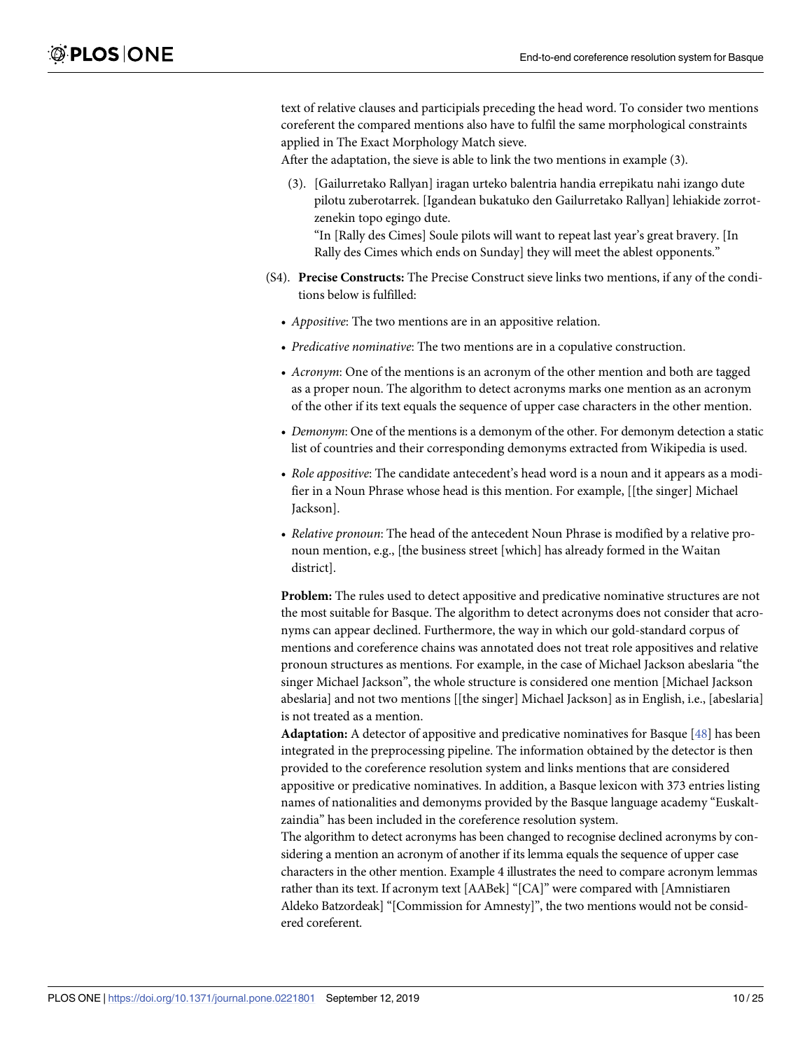<span id="page-9-0"></span>text of relative clauses and participials preceding the head word. To consider two mentions coreferent the compared mentions also have to fulfil the same morphological constraints applied in The Exact Morphology Match sieve.

After the adaptation, the sieve is able to link the two mentions in example (3).

(3). [Gailurretako Rallyan] iragan urteko balentria handia errepikatu nahi izango dute pilotu zuberotarrek. [Igandean bukatuko den Gailurretako Rallyan] lehiakide zorrotzenekin topo egingo dute.

"In [Rally des Cimes] Soule pilots will want to repeat last year's great bravery. [In Rally des Cimes which ends on Sunday] they will meet the ablest opponents."

- (S4). **Precise Constructs:** The Precise Construct sieve links two mentions, if any of the conditions below is fulfilled:
	- *Appositive*: The two mentions are in an appositive relation.
	- *Predicative nominative*: The two mentions are in a copulative construction.
	- *Acronym*: One of the mentions is an acronym of the other mention and both are tagged as a proper noun. The algorithm to detect acronyms marks one mention as an acronym of the other if its text equals the sequence of upper case characters in the other mention.
	- *Demonym*: One of the mentions is a demonym of the other. For demonym detection a static list of countries and their corresponding demonyms extracted from Wikipedia is used.
	- *Role appositive*: The candidate antecedent's head word is a noun and it appears as a modifier in a Noun Phrase whose head is this mention. For example, [[the singer] Michael Jackson].
	- *Relative pronoun*: The head of the antecedent Noun Phrase is modified by a relative pronoun mention, e.g., [the business street [which] has already formed in the Waitan district].

**Problem:** The rules used to detect appositive and predicative nominative structures are not the most suitable for Basque. The algorithm to detect acronyms does not consider that acronyms can appear declined. Furthermore, the way in which our gold-standard corpus of mentions and coreference chains was annotated does not treat role appositives and relative pronoun structures as mentions. For example, in the case of Michael Jackson abeslaria "the singer Michael Jackson", the whole structure is considered one mention [Michael Jackson abeslaria] and not two mentions [[the singer] Michael Jackson] as in English, i.e., [abeslaria] is not treated as a mention.

**Adaptation:** A detector of appositive and predicative nominatives for Basque [\[48\]](#page-23-0) has been integrated in the preprocessing pipeline. The information obtained by the detector is then provided to the coreference resolution system and links mentions that are considered appositive or predicative nominatives. In addition, a Basque lexicon with 373 entries listing names of nationalities and demonyms provided by the Basque language academy "Euskaltzaindia" has been included in the coreference resolution system.

The algorithm to detect acronyms has been changed to recognise declined acronyms by considering a mention an acronym of another if its lemma equals the sequence of upper case characters in the other mention. Example 4 illustrates the need to compare acronym lemmas rather than its text. If acronym text [AABek] "[CA]" were compared with [Amnistiaren Aldeko Batzordeak] "[Commission for Amnesty]", the two mentions would not be considered coreferent.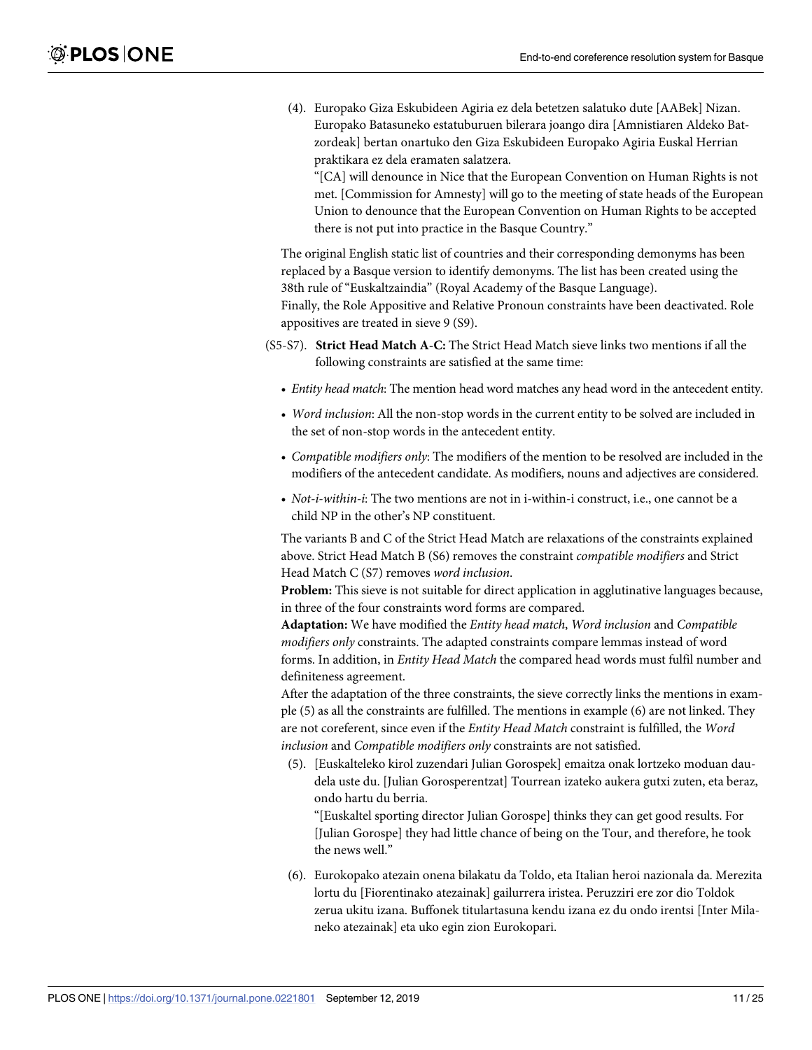(4). Europako Giza Eskubideen Agiria ez dela betetzen salatuko dute [AABek] Nizan. Europako Batasuneko estatuburuen bilerara joango dira [Amnistiaren Aldeko Batzordeak] bertan onartuko den Giza Eskubideen Europako Agiria Euskal Herrian praktikara ez dela eramaten salatzera.

"[CA] will denounce in Nice that the European Convention on Human Rights is not met. [Commission for Amnesty] will go to the meeting of state heads of the European Union to denounce that the European Convention on Human Rights to be accepted there is not put into practice in the Basque Country."

The original English static list of countries and their corresponding demonyms has been replaced by a Basque version to identify demonyms. The list has been created using the 38th rule of "Euskaltzaindia" (Royal Academy of the Basque Language).

Finally, the Role Appositive and Relative Pronoun constraints have been deactivated. Role appositives are treated in sieve 9 (S9).

- (S5-S7). **Strict Head Match A-C:** The Strict Head Match sieve links two mentions if all the following constraints are satisfied at the same time:
	- *Entity head match*: The mention head word matches any head word in the antecedent entity.
	- *Word inclusion*: All the non-stop words in the current entity to be solved are included in the set of non-stop words in the antecedent entity.
	- *Compatible modifiers only*: The modifiers of the mention to be resolved are included in the modifiers of the antecedent candidate. As modifiers, nouns and adjectives are considered.
	- *Not-i-within-i*: The two mentions are not in i-within-i construct, i.e., one cannot be a child NP in the other's NP constituent.

The variants B and C of the Strict Head Match are relaxations of the constraints explained above. Strict Head Match B (S6) removes the constraint *compatible modifiers* and Strict Head Match C (S7) removes *word inclusion*.

**Problem:** This sieve is not suitable for direct application in agglutinative languages because, in three of the four constraints word forms are compared.

**Adaptation:** We have modified the *Entity head match*, *Word inclusion* and *Compatible modifiers only* constraints. The adapted constraints compare lemmas instead of word forms. In addition, in *Entity Head Match* the compared head words must fulfil number and definiteness agreement.

After the adaptation of the three constraints, the sieve correctly links the mentions in example (5) as all the constraints are fulfilled. The mentions in example (6) are not linked. They are not coreferent, since even if the *Entity Head Match* constraint is fulfilled, the *Word inclusion* and *Compatible modifiers only* constraints are not satisfied.

(5). [Euskalteleko kirol zuzendari Julian Gorospek] emaitza onak lortzeko moduan daudela uste du. [Julian Gorosperentzat] Tourrean izateko aukera gutxi zuten, eta beraz, ondo hartu du berria.

"[Euskaltel sporting director Julian Gorospe] thinks they can get good results. For [Julian Gorospe] they had little chance of being on the Tour, and therefore, he took the news well."

(6). Eurokopako atezain onena bilakatu da Toldo, eta Italian heroi nazionala da. Merezita lortu du [Fiorentinako atezainak] gailurrera iristea. Peruzziri ere zor dio Toldok zerua ukitu izana. Buffonek titulartasuna kendu izana ez du ondo irentsi [Inter Milaneko atezainak] eta uko egin zion Eurokopari.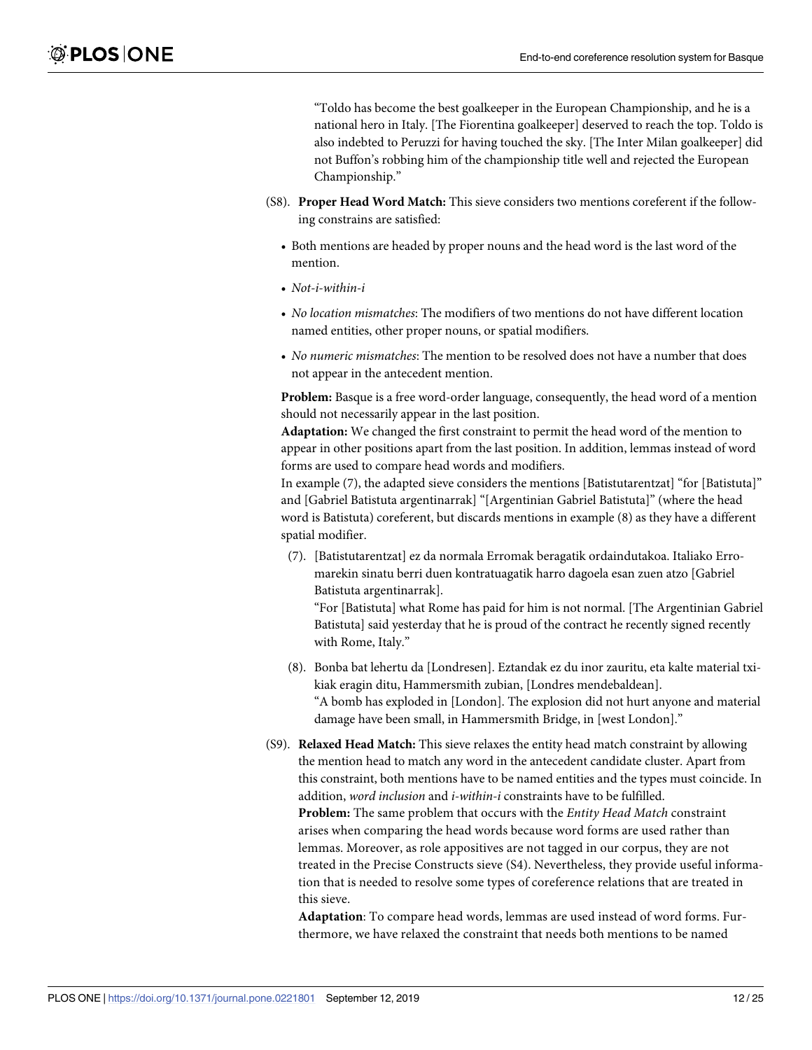"Toldo has become the best goalkeeper in the European Championship, and he is a national hero in Italy. [The Fiorentina goalkeeper] deserved to reach the top. Toldo is also indebted to Peruzzi for having touched the sky. [The Inter Milan goalkeeper] did not Buffon's robbing him of the championship title well and rejected the European Championship."

- (S8). **Proper Head Word Match:** This sieve considers two mentions coreferent if the following constrains are satisfied:
	- Both mentions are headed by proper nouns and the head word is the last word of the mention.
	- *Not-i-within-i*
	- *No location mismatches*: The modifiers of two mentions do not have different location named entities, other proper nouns, or spatial modifiers.
	- *No numeric mismatches*: The mention to be resolved does not have a number that does not appear in the antecedent mention.

**Problem:** Basque is a free word-order language, consequently, the head word of a mention should not necessarily appear in the last position.

**Adaptation:** We changed the first constraint to permit the head word of the mention to appear in other positions apart from the last position. In addition, lemmas instead of word forms are used to compare head words and modifiers.

In example (7), the adapted sieve considers the mentions [Batistutarentzat] "for [Batistuta]" and [Gabriel Batistuta argentinarrak] "[Argentinian Gabriel Batistuta]" (where the head word is Batistuta) coreferent, but discards mentions in example (8) as they have a different spatial modifier.

(7). [Batistutarentzat] ez da normala Erromak beragatik ordaindutakoa. Italiako Erromarekin sinatu berri duen kontratuagatik harro dagoela esan zuen atzo [Gabriel Batistuta argentinarrak].

"For [Batistuta] what Rome has paid for him is not normal. [The Argentinian Gabriel Batistuta] said yesterday that he is proud of the contract he recently signed recently with Rome, Italy."

- (8). Bonba bat lehertu da [Londresen]. Eztandak ez du inor zauritu, eta kalte material txikiak eragin ditu, Hammersmith zubian, [Londres mendebaldean]. "A bomb has exploded in [London]. The explosion did not hurt anyone and material damage have been small, in Hammersmith Bridge, in [west London]."
- (S9). **Relaxed Head Match:** This sieve relaxes the entity head match constraint by allowing the mention head to match any word in the antecedent candidate cluster. Apart from this constraint, both mentions have to be named entities and the types must coincide. In addition, *word inclusion* and *i-within-i* constraints have to be fulfilled. **Problem:** The same problem that occurs with the *Entity Head Match* constraint arises when comparing the head words because word forms are used rather than lemmas. Moreover, as role appositives are not tagged in our corpus, they are not treated in the Precise Constructs sieve (S4). Nevertheless, they provide useful information that is needed to resolve some types of coreference relations that are treated in this sieve.

**Adaptation**: To compare head words, lemmas are used instead of word forms. Furthermore, we have relaxed the constraint that needs both mentions to be named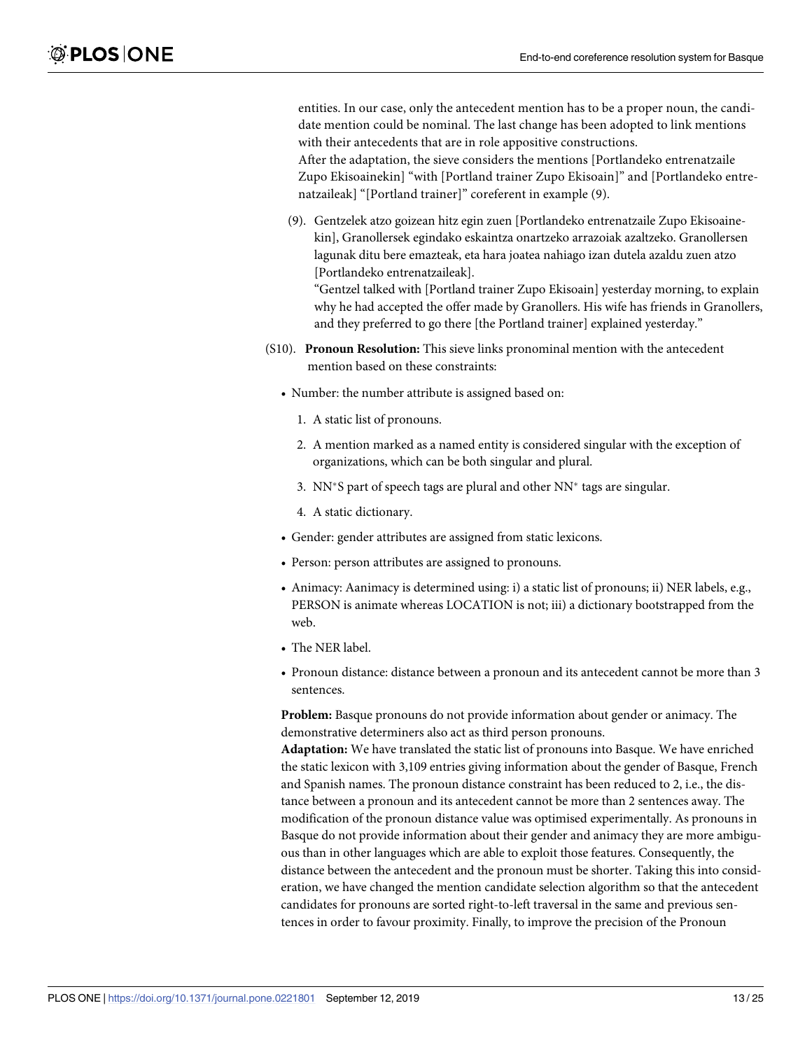entities. In our case, only the antecedent mention has to be a proper noun, the candidate mention could be nominal. The last change has been adopted to link mentions with their antecedents that are in role appositive constructions.

After the adaptation, the sieve considers the mentions [Portlandeko entrenatzaile Zupo Ekisoainekin] "with [Portland trainer Zupo Ekisoain]" and [Portlandeko entrenatzaileak] "[Portland trainer]" coreferent in example (9).

(9). Gentzelek atzo goizean hitz egin zuen [Portlandeko entrenatzaile Zupo Ekisoainekin], Granollersek egindako eskaintza onartzeko arrazoiak azaltzeko. Granollersen lagunak ditu bere emazteak, eta hara joatea nahiago izan dutela azaldu zuen atzo [Portlandeko entrenatzaileak].

"Gentzel talked with [Portland trainer Zupo Ekisoain] yesterday morning, to explain why he had accepted the offer made by Granollers. His wife has friends in Granollers, and they preferred to go there [the Portland trainer] explained yesterday."

- (S10). **Pronoun Resolution:** This sieve links pronominal mention with the antecedent mention based on these constraints:
	- Number: the number attribute is assigned based on:
		- 1. A static list of pronouns.
		- 2. A mention marked as a named entity is considered singular with the exception of organizations, which can be both singular and plural.
		- 3. NN\*S part of speech tags are plural and other NN\* tags are singular.
		- 4. A static dictionary.
	- Gender: gender attributes are assigned from static lexicons.
	- Person: person attributes are assigned to pronouns.
	- Animacy: Aanimacy is determined using: i) a static list of pronouns; ii) NER labels, e.g., PERSON is animate whereas LOCATION is not; iii) a dictionary bootstrapped from the web.
	- The NER label.
	- Pronoun distance: distance between a pronoun and its antecedent cannot be more than 3 sentences.

**Problem:** Basque pronouns do not provide information about gender or animacy. The demonstrative determiners also act as third person pronouns.

**Adaptation:** We have translated the static list of pronouns into Basque. We have enriched the static lexicon with 3,109 entries giving information about the gender of Basque, French and Spanish names. The pronoun distance constraint has been reduced to 2, i.e., the distance between a pronoun and its antecedent cannot be more than 2 sentences away. The modification of the pronoun distance value was optimised experimentally. As pronouns in Basque do not provide information about their gender and animacy they are more ambiguous than in other languages which are able to exploit those features. Consequently, the distance between the antecedent and the pronoun must be shorter. Taking this into consideration, we have changed the mention candidate selection algorithm so that the antecedent candidates for pronouns are sorted right-to-left traversal in the same and previous sentences in order to favour proximity. Finally, to improve the precision of the Pronoun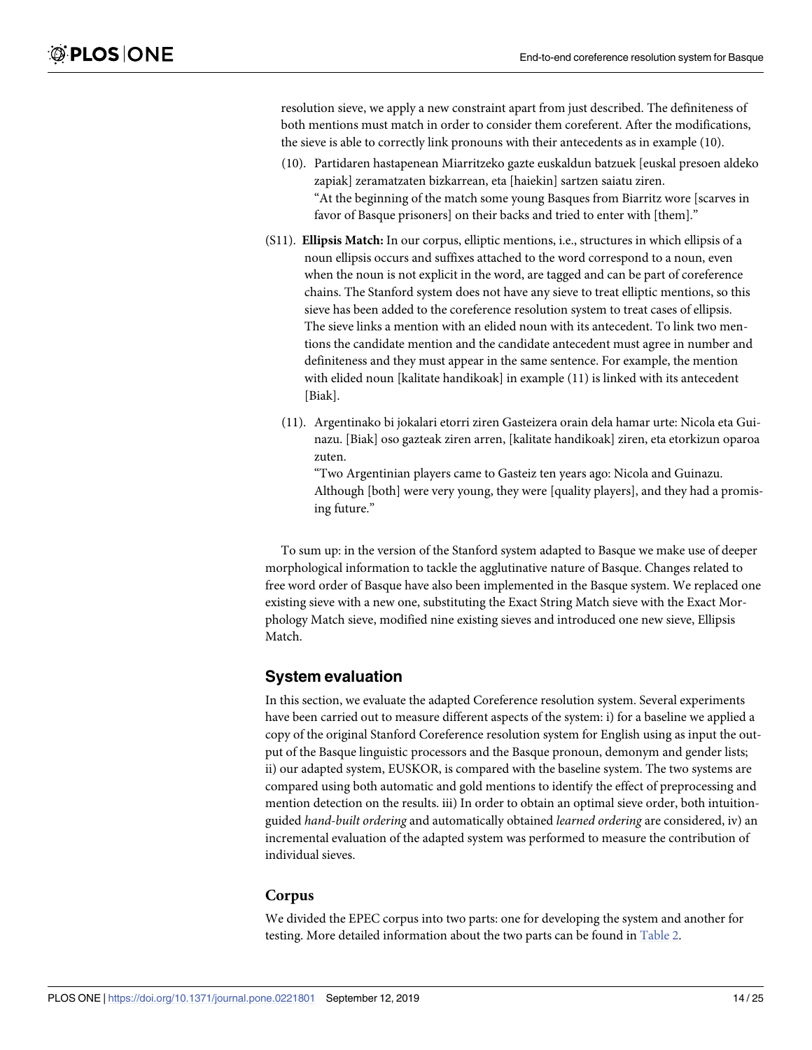<span id="page-13-0"></span>resolution sieve, we apply a new constraint apart from just described. The definiteness of both mentions must match in order to consider them coreferent. After the modifications, the sieve is able to correctly link pronouns with their antecedents as in example (10).

- (10). Partidaren hastapenean Miarritzeko gazte euskaldun batzuek [euskal presoen aldeko zapiak] zeramatzaten bizkarrean, eta [haiekin] sartzen saiatu ziren. "At the beginning of the match some young Basques from Biarritz wore [scarves in favor of Basque prisoners] on their backs and tried to enter with [them]."
- (S11). **Ellipsis Match:** In our corpus, elliptic mentions, i.e., structures in which ellipsis of a noun ellipsis occurs and suffixes attached to the word correspond to a noun, even when the noun is not explicit in the word, are tagged and can be part of coreference chains. The Stanford system does not have any sieve to treat elliptic mentions, so this sieve has been added to the coreference resolution system to treat cases of ellipsis. The sieve links a mention with an elided noun with its antecedent. To link two mentions the candidate mention and the candidate antecedent must agree in number and definiteness and they must appear in the same sentence. For example, the mention with elided noun [kalitate handikoak] in example (11) is linked with its antecedent [Biak].
	- (11). Argentinako bi jokalari etorri ziren Gasteizera orain dela hamar urte: Nicola eta Guinazu. [Biak] oso gazteak ziren arren, [kalitate handikoak] ziren, eta etorkizun oparoa zuten.

"Two Argentinian players came to Gasteiz ten years ago: Nicola and Guinazu. Although [both] were very young, they were [quality players], and they had a promising future."

To sum up: in the version of the Stanford system adapted to Basque we make use of deeper morphological information to tackle the agglutinative nature of Basque. Changes related to free word order of Basque have also been implemented in the Basque system. We replaced one existing sieve with a new one, substituting the Exact String Match sieve with the Exact Morphology Match sieve, modified nine existing sieves and introduced one new sieve, Ellipsis Match.

# **System evaluation**

In this section, we evaluate the adapted Coreference resolution system. Several experiments have been carried out to measure different aspects of the system: i) for a baseline we applied a copy of the original Stanford Coreference resolution system for English using as input the output of the Basque linguistic processors and the Basque pronoun, demonym and gender lists; ii) our adapted system, EUSKOR, is compared with the baseline system. The two systems are compared using both automatic and gold mentions to identify the effect of preprocessing and mention detection on the results. iii) In order to obtain an optimal sieve order, both intuitionguided *hand-built ordering* and automatically obtained *learned ordering* are considered, iv) an incremental evaluation of the adapted system was performed to measure the contribution of individual sieves.

#### **Corpus**

We divided the EPEC corpus into two parts: one for developing the system and another for testing. More detailed information about the two parts can be found in [Table](#page-14-0) 2.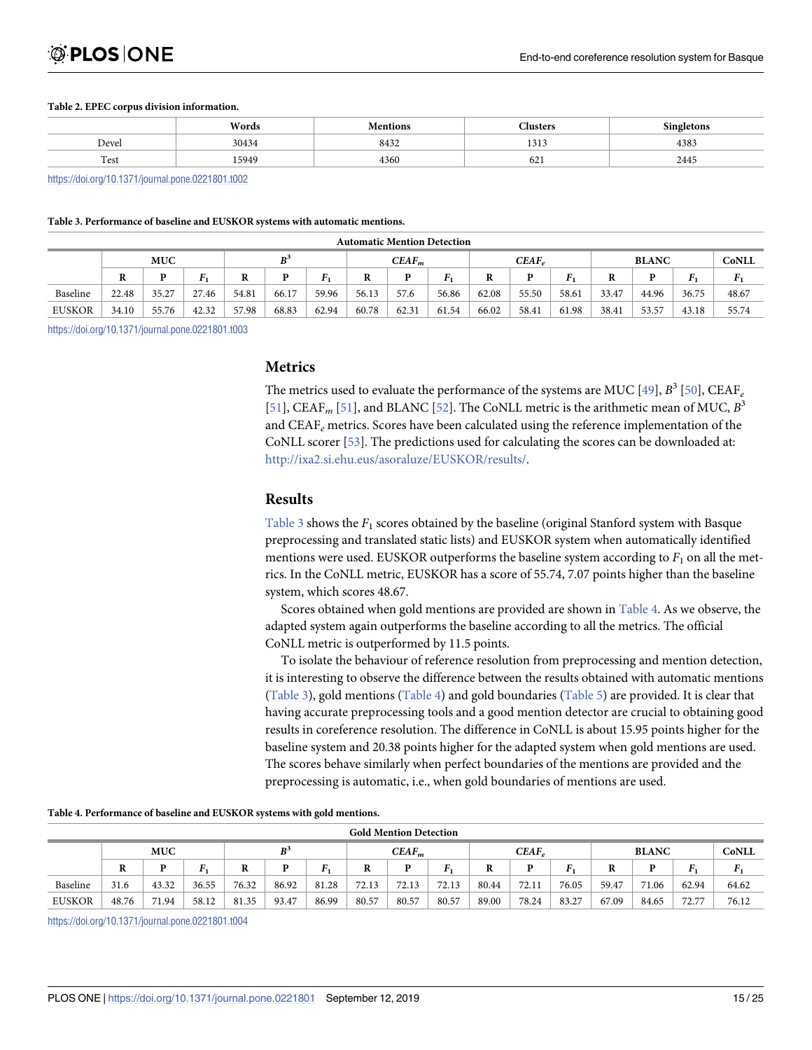#### <span id="page-14-0"></span>**[Table](#page-13-0) 2. EPEC corpus division information.**

|       | Words | Aentions | <b>Clusters</b>                   | vingletons |
|-------|-------|----------|-----------------------------------|------------|
| Devel | 30434 | 8432     | 1.21.2<br>$\mathbf{z}$<br>1 J 1 J | 4383       |
| Test  | 15949 | 4360     | 62 I                              | 2445       |

<https://doi.org/10.1371/journal.pone.0221801.t002>

#### **Table 3. Performance of baseline and EUSKOR systems with automatic mentions.**

|               | <b>Automatic Mention Detection</b> |            |         |       |       |       |       |          |       |       |          |       |       |              |       |              |
|---------------|------------------------------------|------------|---------|-------|-------|-------|-------|----------|-------|-------|----------|-------|-------|--------------|-------|--------------|
|               |                                    | <b>MUC</b> |         |       | $B^3$ |       |       | $CEAF_m$ |       |       | $CEAF_e$ |       |       | <b>BLANC</b> |       | <b>CoNLL</b> |
|               | R                                  | D          | $F_{1}$ | R     | D     |       | R     | D        | $F_1$ | R     | D        | r,    | R     | D            | . .   | $F_1$        |
| Baseline      | 22.48                              | 35.27      | 27.46   | 54.81 | 66.17 | 59.96 | 56.13 | 57.6     | 56.86 | 62.08 | 55.50    | 58.61 | 33.47 | 44.96        | 36.75 | 48.67        |
| <b>EUSKOR</b> | 34.10                              | 55.76      | 42.32   | 57.98 | 68.83 | 62.94 | 60.78 | 62.31    | 61.54 | 66.02 | 58.41    | 61.98 | 38.41 | 53.57        | 43.18 | 55.74        |

<https://doi.org/10.1371/journal.pone.0221801.t003>

#### **Metrics**

The metrics used to evaluate the performance of the systems are MUC  $[49]$ ,  $B^3$  [\[50\]](#page-24-0), CEAF<sub>e</sub> [\[51\]](#page-24-0), CEAF<sub>m</sub> [[51](#page-24-0)], and BLANC [\[52](#page-24-0)]. The CoNLL metric is the arithmetic mean of MUC,  $B^3$ and CEAF*<sup>e</sup>* metrics. Scores have been calculated using the reference implementation of the CoNLL scorer [\[53\]](#page-24-0). The predictions used for calculating the scores can be downloaded at: <http://ixa2.si.ehu.eus/asoraluze/EUSKOR/results/>.

#### **Results**

Table 3 shows the *F*<sup>1</sup> scores obtained by the baseline (original Stanford system with Basque preprocessing and translated static lists) and EUSKOR system when automatically identified mentions were used. EUSKOR outperforms the baseline system according to  $F_1$  on all the metrics. In the CoNLL metric, EUSKOR has a score of 55.74, 7.07 points higher than the baseline system, which scores 48.67.

Scores obtained when gold mentions are provided are shown in Table 4. As we observe, the adapted system again outperforms the baseline according to all the metrics. The official CoNLL metric is outperformed by 11.5 points.

To isolate the behaviour of reference resolution from preprocessing and mention detection, it is interesting to observe the difference between the results obtained with automatic mentions (Table 3), gold mentions (Table 4) and gold boundaries ([Table](#page-15-0) 5) are provided. It is clear that having accurate preprocessing tools and a good mention detector are crucial to obtaining good results in coreference resolution. The difference in CoNLL is about 15.95 points higher for the baseline system and 20.38 points higher for the adapted system when gold mentions are used. The scores behave similarly when perfect boundaries of the mentions are provided and the preprocessing is automatic, i.e., when gold boundaries of mentions are used.

| Table 4. Performance of baseline and EUSKOR systems with gold mentions. |  |
|-------------------------------------------------------------------------|--|
|-------------------------------------------------------------------------|--|

| <b>Gold Mention Detection</b> |       |            |       |       |       |       |       |          |       |       |          |       |       |              |       |              |
|-------------------------------|-------|------------|-------|-------|-------|-------|-------|----------|-------|-------|----------|-------|-------|--------------|-------|--------------|
|                               |       | <b>MUC</b> |       |       | $B^z$ |       |       | $CEAF_m$ |       |       | $CEAF_e$ |       |       | <b>BLANC</b> |       | <b>CoNLL</b> |
|                               | R     | D          | F.    | R     | D     |       | R     | D        | F.    | R     | D        | r     | R     | D            |       | F,           |
| Baseline                      | 31.6  | 43.32      | 36.55 | 76.32 | 86.92 | 81.28 | 72.13 | 72.13    | 72.13 | 80.44 | 72.11    | 76.05 | 59.47 | 71.06        | 62.94 | 64.62        |
| <b>EUSKOR</b>                 | 48.76 | 71.94      | 58.12 | 81.35 | 93.47 | 86.99 | 80.57 | 80.57    | 80.57 | 89.00 | 78.24    | 83.27 | 67.09 | 84.65        | 72.77 | 76.12        |

<https://doi.org/10.1371/journal.pone.0221801.t004>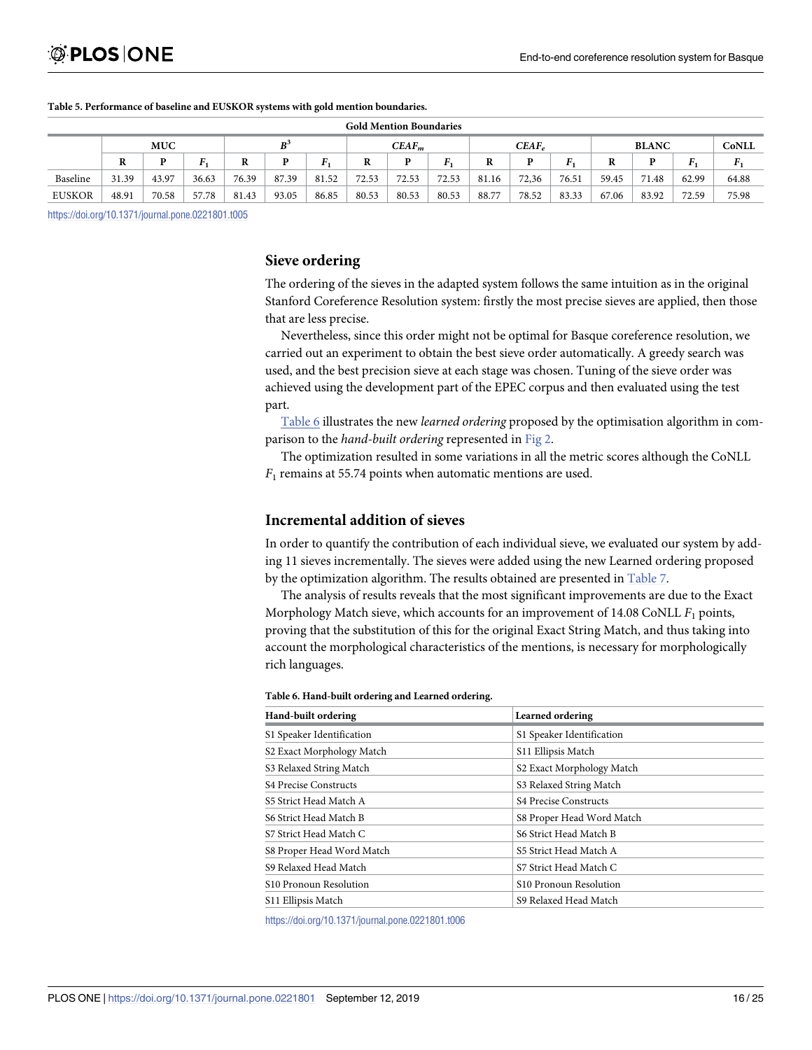#### <span id="page-15-0"></span>**[Table](#page-14-0) 5. Performance of baseline and EUSKOR systems with gold mention boundaries.**

|               | <b>Gold Mention Boundaries</b>                              |       |       |        |       |       |       |       |              |       |       |       |       |            |              |       |  |
|---------------|-------------------------------------------------------------|-------|-------|--------|-------|-------|-------|-------|--------------|-------|-------|-------|-------|------------|--------------|-------|--|
|               | $B^3$<br><b>MUC</b><br><b>BLANC</b><br>$CEAF_m$<br>$CEAF_c$ |       |       |        |       |       |       |       |              |       |       |       |       |            | <b>CoNLL</b> |       |  |
|               | R                                                           |       | F1    | D<br>v |       |       | R     | D     | $\mathbf{r}$ | R     | D     |       | R     | D          |              |       |  |
| Baseline      | 31.39                                                       | 43.97 | 36.63 | 76.39  | 87.39 | 81.52 | 72.53 | 72.53 | 72.53        | 81.16 | 72,36 | 76.51 | 59.45 | 71<br>1.48 | 62.99        | 64.88 |  |
| <b>EUSKOR</b> | 48.91                                                       | 70.58 | 57.78 | 81.43  | 93.05 | 86.85 | 80.53 | 80.53 | 80.53        | 88.77 | 78.52 | 83.33 | 67.06 | 83.92      | 72.59        | 75.98 |  |

<https://doi.org/10.1371/journal.pone.0221801.t005>

#### **Sieve ordering**

The ordering of the sieves in the adapted system follows the same intuition as in the original Stanford Coreference Resolution system: firstly the most precise sieves are applied, then those that are less precise.

Nevertheless, since this order might not be optimal for Basque coreference resolution, we carried out an experiment to obtain the best sieve order automatically. A greedy search was used, and the best precision sieve at each stage was chosen. Tuning of the sieve order was achieved using the development part of the EPEC corpus and then evaluated using the test part.

Table 6 illustrates the new *learned ordering* proposed by the optimisation algorithm in comparison to the *hand-built ordering* represented in [Fig](#page-7-0) 2.

The optimization resulted in some variations in all the metric scores although the CoNLL *F*<sup>1</sup> remains at 55.74 points when automatic mentions are used.

#### **Incremental addition of sieves**

In order to quantify the contribution of each individual sieve, we evaluated our system by adding 11 sieves incrementally. The sieves were added using the new Learned ordering proposed by the optimization algorithm. The results obtained are presented in [Table](#page-16-0) 7.

The analysis of results reveals that the most significant improvements are due to the Exact Morphology Match sieve, which accounts for an improvement of 14.08 CoNLL  $F_1$  points, proving that the substitution of this for the original Exact String Match, and thus taking into account the morphological characteristics of the mentions, is necessary for morphologically rich languages.

| Hand-built ordering          | <b>Learned ordering</b>      |
|------------------------------|------------------------------|
| S1 Speaker Identification    | S1 Speaker Identification    |
| S2 Exact Morphology Match    | S11 Ellipsis Match           |
| S3 Relaxed String Match      | S2 Exact Morphology Match    |
| <b>S4 Precise Constructs</b> | S3 Relaxed String Match      |
| S5 Strict Head Match A       | <b>S4 Precise Constructs</b> |
| S6 Strict Head Match B       | S8 Proper Head Word Match    |
| S7 Strict Head Match C       | S6 Strict Head Match B       |
| S8 Proper Head Word Match    | S5 Strict Head Match A       |
| S9 Relaxed Head Match        | S7 Strict Head Match C       |
| S10 Pronoun Resolution       | S10 Pronoun Resolution       |
| S11 Ellipsis Match           | S9 Relaxed Head Match        |

#### **Table 6. Hand-built ordering and Learned ordering.**

<https://doi.org/10.1371/journal.pone.0221801.t006>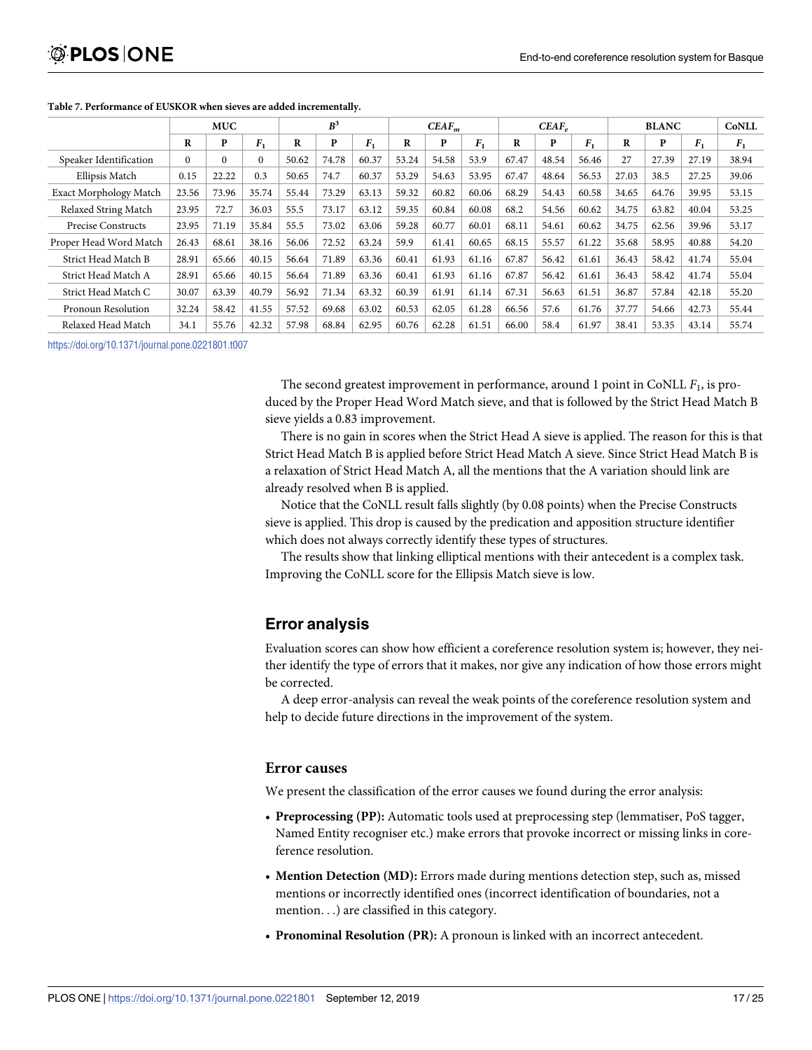|                                     | <b>MUC</b> |              |              | $B^3$ |       |       | $CEAF_m$ |       |         | $CEAF_e$ |       |         | <b>BLANC</b> |       |       | CoNLL |
|-------------------------------------|------------|--------------|--------------|-------|-------|-------|----------|-------|---------|----------|-------|---------|--------------|-------|-------|-------|
|                                     | R          | P            | $F_1$        | R     | P     | $F_1$ | R        | P     | $F_{1}$ | R        | P     | $F_{1}$ | R            | P     | $F_1$ | $F_1$ |
| Speaker Identification              | $\Omega$   | $\mathbf{0}$ | $\mathbf{0}$ | 50.62 | 74.78 | 60.37 | 53.24    | 54.58 | 53.9    | 67.47    | 48.54 | 56.46   | 27           | 27.39 | 27.19 | 38.94 |
| Ellipsis Match                      | 0.15       | 22.22        | 0.3          | 50.65 | 74.7  | 60.37 | 53.29    | 54.63 | 53.95   | 67.47    | 48.64 | 56.53   | 27.03        | 38.5  | 27.25 | 39.06 |
| <b>Exact Morphology Match</b>       | 23.56      | 73.96        | 35.74        | 55.44 | 73.29 | 63.13 | 59.32    | 60.82 | 60.06   | 68.29    | 54.43 | 60.58   | 34.65        | 64.76 | 39.95 | 53.15 |
| Relaxed String Match                | 23.95      | 72.7         | 36.03        | 55.5  | 73.17 | 63.12 | 59.35    | 60.84 | 60.08   | 68.2     | 54.56 | 60.62   | 34.75        | 63.82 | 40.04 | 53.25 |
| Precise Constructs                  | 23.95      | 71.19        | 35.84        | 55.5  | 73.02 | 63.06 | 59.28    | 60.77 | 60.01   | 68.11    | 54.61 | 60.62   | 34.75        | 62.56 | 39.96 | 53.17 |
| Proper Head Word Match              | 26.43      | 68.61        | 38.16        | 56.06 | 72.52 | 63.24 | 59.9     | 61.41 | 60.65   | 68.15    | 55.57 | 61.22   | 35.68        | 58.95 | 40.88 | 54.20 |
| Strict Head Match B                 | 28.91      | 65.66        | 40.15        | 56.64 | 71.89 | 63.36 | 60.41    | 61.93 | 61.16   | 67.87    | 56.42 | 61.61   | 36.43        | 58.42 | 41.74 | 55.04 |
| Strict Head Match A                 | 28.91      | 65.66        | 40.15        | 56.64 | 71.89 | 63.36 | 60.41    | 61.93 | 61.16   | 67.87    | 56.42 | 61.61   | 36.43        | 58.42 | 41.74 | 55.04 |
| Strict Head Match C                 | 30.07      | 63.39        | 40.79        | 56.92 | 71.34 | 63.32 | 60.39    | 61.91 | 61.14   | 67.31    | 56.63 | 61.51   | 36.87        | 57.84 | 42.18 | 55.20 |
| Pronoun Resolution                  | 32.24      | 58.42        | 41.55        | 57.52 | 69.68 | 63.02 | 60.53    | 62.05 | 61.28   | 66.56    | 57.6  | 61.76   | 37.77        | 54.66 | 42.73 | 55.44 |
| Relaxed Head Match<br>55.76<br>34.1 |            | 42.32        | 57.98        | 68.84 | 62.95 | 60.76 | 62.28    | 61.51 | 66.00   | 58.4     | 61.97 | 38.41   | 53.35        | 43.14 | 55.74 |       |

#### <span id="page-16-0"></span>**[Table](#page-15-0) 7. Performance of EUSKOR when sieves are added incrementally.**

<https://doi.org/10.1371/journal.pone.0221801.t007>

The second greatest improvement in performance, around 1 point in CoNLL  $F_1$ , is produced by the Proper Head Word Match sieve, and that is followed by the Strict Head Match B sieve yields a 0.83 improvement.

There is no gain in scores when the Strict Head A sieve is applied. The reason for this is that Strict Head Match B is applied before Strict Head Match A sieve. Since Strict Head Match B is a relaxation of Strict Head Match A, all the mentions that the A variation should link are already resolved when B is applied.

Notice that the CoNLL result falls slightly (by 0.08 points) when the Precise Constructs sieve is applied. This drop is caused by the predication and apposition structure identifier which does not always correctly identify these types of structures.

The results show that linking elliptical mentions with their antecedent is a complex task. Improving the CoNLL score for the Ellipsis Match sieve is low.

#### **Error analysis**

Evaluation scores can show how efficient a coreference resolution system is; however, they neither identify the type of errors that it makes, nor give any indication of how those errors might be corrected.

A deep error-analysis can reveal the weak points of the coreference resolution system and help to decide future directions in the improvement of the system.

#### **Error causes**

We present the classification of the error causes we found during the error analysis:

- **Preprocessing (PP):** Automatic tools used at preprocessing step (lemmatiser, PoS tagger, Named Entity recogniser etc.) make errors that provoke incorrect or missing links in coreference resolution.
- **Mention Detection (MD):** Errors made during mentions detection step, such as, missed mentions or incorrectly identified ones (incorrect identification of boundaries, not a mention. . .) are classified in this category.
- **Pronominal Resolution (PR):** A pronoun is linked with an incorrect antecedent.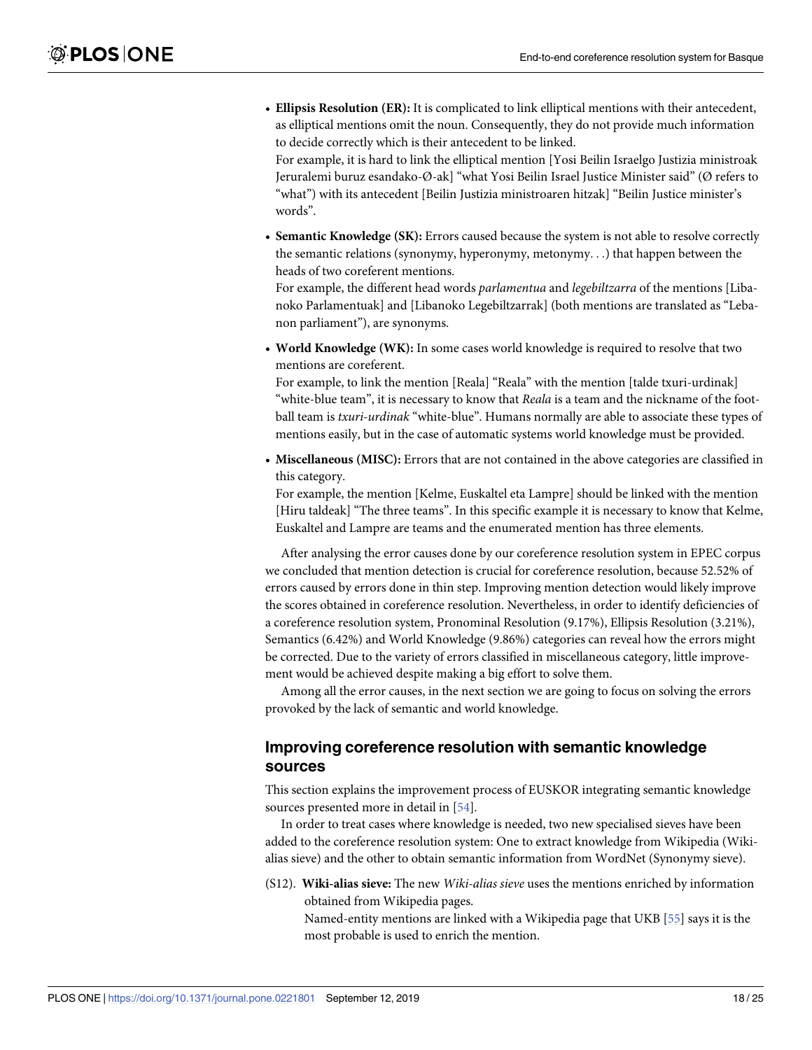<span id="page-17-0"></span>• **Ellipsis Resolution (ER):** It is complicated to link elliptical mentions with their antecedent, as elliptical mentions omit the noun. Consequently, they do not provide much information to decide correctly which is their antecedent to be linked.

For example, it is hard to link the elliptical mention [Yosi Beilin Israelgo Justizia ministroak Jeruralemi buruz esandako-Ø-ak] "what Yosi Beilin Israel Justice Minister said" (Ø refers to "what") with its antecedent [Beilin Justizia ministroaren hitzak] "Beilin Justice minister's words".

• **Semantic Knowledge (SK):** Errors caused because the system is not able to resolve correctly the semantic relations (synonymy, hyperonymy, metonymy. . .) that happen between the heads of two coreferent mentions.

For example, the different head words *parlamentua* and *legebiltzarra* of the mentions [Libanoko Parlamentuak] and [Libanoko Legebiltzarrak] (both mentions are translated as "Lebanon parliament"), are synonyms.

• **World Knowledge (WK):** In some cases world knowledge is required to resolve that two mentions are coreferent.

For example, to link the mention [Reala] "Reala" with the mention [talde txuri-urdinak] "white-blue team", it is necessary to know that *Reala* is a team and the nickname of the football team is *txuri-urdinak* "white-blue". Humans normally are able to associate these types of mentions easily, but in the case of automatic systems world knowledge must be provided.

• **Miscellaneous (MISC):** Errors that are not contained in the above categories are classified in this category.

For example, the mention [Kelme, Euskaltel eta Lampre] should be linked with the mention [Hiru taldeak] "The three teams". In this specific example it is necessary to know that Kelme, Euskaltel and Lampre are teams and the enumerated mention has three elements.

After analysing the error causes done by our coreference resolution system in EPEC corpus we concluded that mention detection is crucial for coreference resolution, because 52.52% of errors caused by errors done in thin step. Improving mention detection would likely improve the scores obtained in coreference resolution. Nevertheless, in order to identify deficiencies of a coreference resolution system, Pronominal Resolution (9.17%), Ellipsis Resolution (3.21%), Semantics (6.42%) and World Knowledge (9.86%) categories can reveal how the errors might be corrected. Due to the variety of errors classified in miscellaneous category, little improvement would be achieved despite making a big effort to solve them.

Among all the error causes, in the next section we are going to focus on solving the errors provoked by the lack of semantic and world knowledge.

# **Improving coreference resolution with semantic knowledge sources**

This section explains the improvement process of EUSKOR integrating semantic knowledge sources presented more in detail in [[54](#page-24-0)].

In order to treat cases where knowledge is needed, two new specialised sieves have been added to the coreference resolution system: One to extract knowledge from Wikipedia (Wikialias sieve) and the other to obtain semantic information from WordNet (Synonymy sieve).

(S12). **Wiki-alias sieve:** The new *Wiki-alias sieve* uses the mentions enriched by information obtained from Wikipedia pages.

Named-entity mentions are linked with a Wikipedia page that UKB [[55](#page-24-0)] says it is the most probable is used to enrich the mention.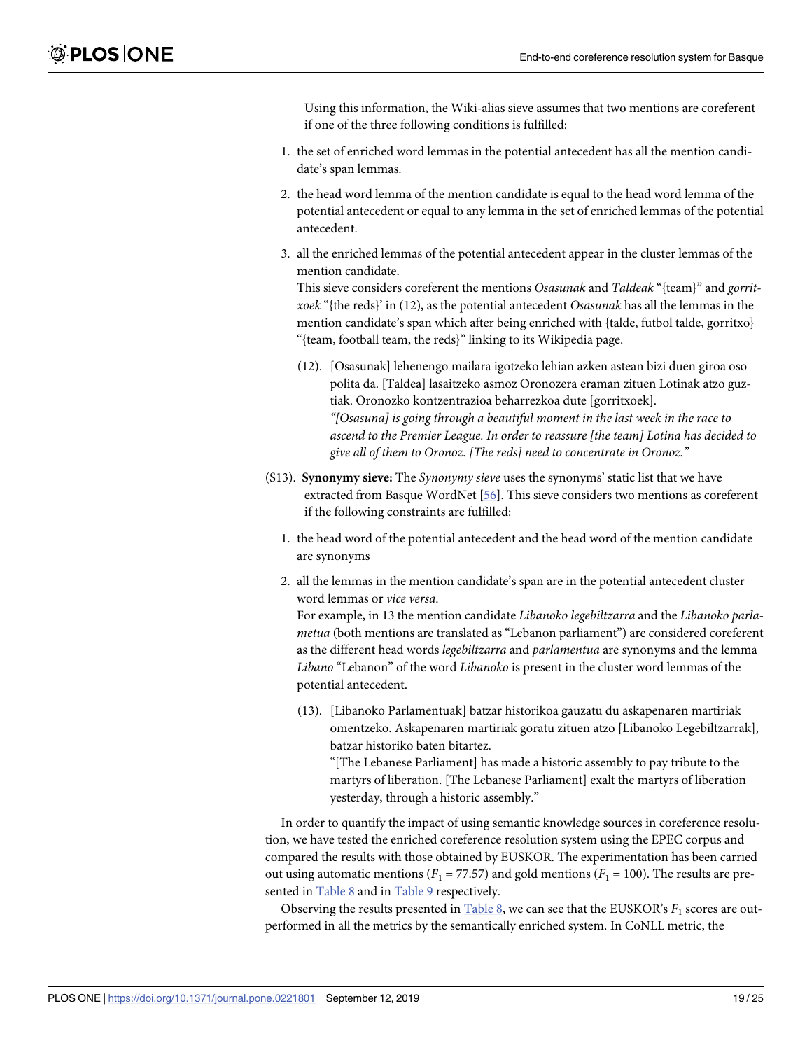Using this information, the Wiki-alias sieve assumes that two mentions are coreferent if one of the three following conditions is fulfilled:

- <span id="page-18-0"></span>1. the set of enriched word lemmas in the potential antecedent has all the mention candidate's span lemmas.
- 2. the head word lemma of the mention candidate is equal to the head word lemma of the potential antecedent or equal to any lemma in the set of enriched lemmas of the potential antecedent.
- 3. all the enriched lemmas of the potential antecedent appear in the cluster lemmas of the mention candidate.

This sieve considers coreferent the mentions *Osasunak* and *Taldeak* "{team}" and *gorritxoek* "{the reds}' in (12), as the potential antecedent *Osasunak* has all the lemmas in the mention candidate's span which after being enriched with {talde, futbol talde, gorritxo} "{team, football team, the reds}" linking to its Wikipedia page.

- (12). [Osasunak] lehenengo mailara igotzeko lehian azken astean bizi duen giroa oso polita da. [Taldea] lasaitzeko asmoz Oronozera eraman zituen Lotinak atzo guztiak. Oronozko kontzentrazioa beharrezkoa dute [gorritxoek]. *"[Osasuna] is going through a beautiful moment in the last week in the race to ascend to the Premier League. In order to reassure [the team] Lotina has decided to give all of them to Oronoz. [The reds] need to concentrate in Oronoz."*
- (S13). **Synonymy sieve:** The *Synonymy sieve* uses the synonyms' static list that we have extracted from Basque WordNet [\[56\]](#page-24-0). This sieve considers two mentions as coreferent if the following constraints are fulfilled:
	- 1. the head word of the potential antecedent and the head word of the mention candidate are synonyms
	- 2. all the lemmas in the mention candidate's span are in the potential antecedent cluster word lemmas or *vice versa*.

For example, in 13 the mention candidate *Libanoko legebiltzarra* and the *Libanoko parlametua* (both mentions are translated as "Lebanon parliament") are considered coreferent as the different head words *legebiltzarra* and *parlamentua* are synonyms and the lemma *Libano* "Lebanon" of the word *Libanoko* is present in the cluster word lemmas of the potential antecedent.

(13). [Libanoko Parlamentuak] batzar historikoa gauzatu du askapenaren martiriak omentzeko. Askapenaren martiriak goratu zituen atzo [Libanoko Legebiltzarrak], batzar historiko baten bitartez.

"[The Lebanese Parliament] has made a historic assembly to pay tribute to the martyrs of liberation. [The Lebanese Parliament] exalt the martyrs of liberation yesterday, through a historic assembly."

In order to quantify the impact of using semantic knowledge sources in coreference resolution, we have tested the enriched coreference resolution system using the EPEC corpus and compared the results with those obtained by EUSKOR. The experimentation has been carried out using automatic mentions ( $F_1$  = 77.57) and gold mentions ( $F_1$  = 100). The results are presented in [Table](#page-19-0) 8 and in [Table](#page-19-0) 9 respectively.

Observing the results presented in [Table](#page-19-0) 8, we can see that the EUSKOR's *F*<sup>1</sup> scores are outperformed in all the metrics by the semantically enriched system. In CoNLL metric, the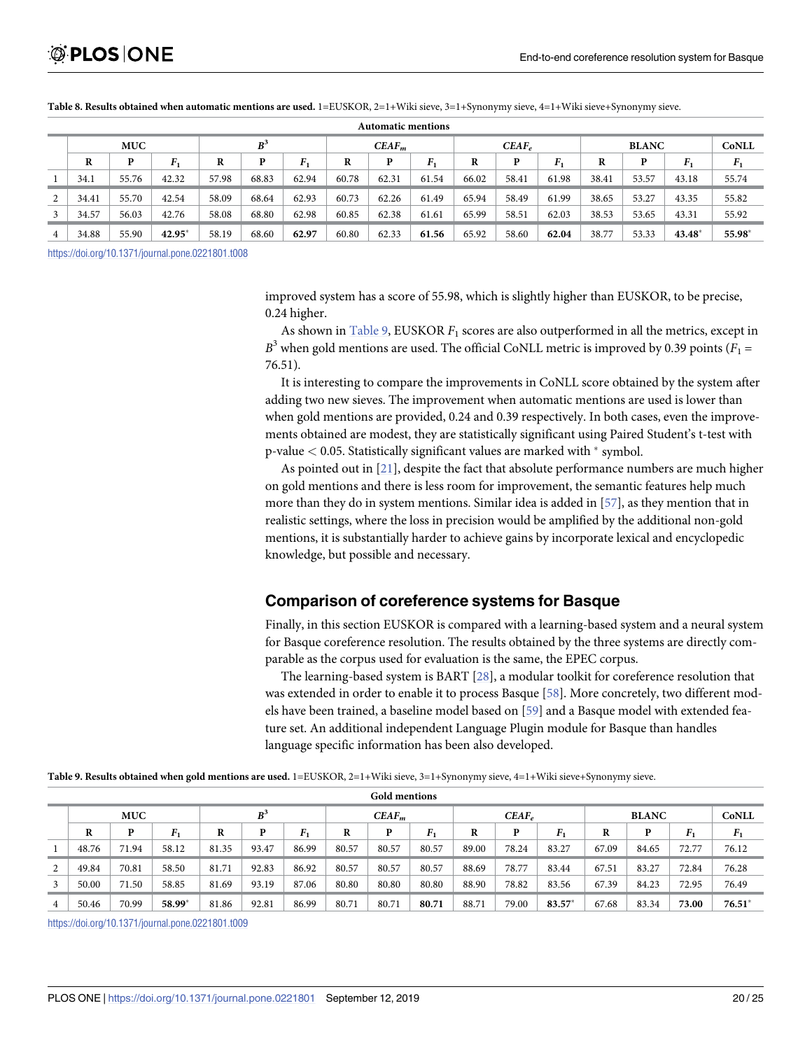|   | <b>Automatic mentions</b> |            |        |       |       |       |       |          |       |       |            |       |       |              |          |              |
|---|---------------------------|------------|--------|-------|-------|-------|-------|----------|-------|-------|------------|-------|-------|--------------|----------|--------------|
|   |                           | <b>MUC</b> |        |       | $B^3$ |       |       | $CEAF_m$ |       |       | $CEAF_{e}$ |       |       | <b>BLANC</b> |          | <b>CoNLL</b> |
|   | R                         | P          | $F_1$  | R     | P     | $F_1$ | R     | p        | $F_1$ | R     | D          | $F_1$ | R     | D<br>л.      | $F_{L}$  | $F_1$        |
|   | 34.1                      | 55.76      | 42.32  | 57.98 | 68.83 | 62.94 | 60.78 | 62.31    | 61.54 | 66.02 | 58.41      | 61.98 | 38.41 | 53.57        | 43.18    | 55.74        |
| 2 | 34.41                     | 55.70      | 42.54  | 58.09 | 68.64 | 62.93 | 60.73 | 62.26    | 61.49 | 65.94 | 58.49      | 61.99 | 38.65 | 53.27        | 43.35    | 55.82        |
| 3 | 34.57                     | 56.03      | 42.76  | 58.08 | 68.80 | 62.98 | 60.85 | 62.38    | 61.61 | 65.99 | 58.51      | 62.03 | 38.53 | 53.65        | 43.31    | 55.92        |
| 4 | 34.88                     | 55.90      | 42.95* | 58.19 | 68.60 | 62.97 | 60.80 | 62.33    | 61.56 | 65.92 | 58.60      | 62.04 | 38.77 | 53.33        | $43.48*$ | 55.98*       |

<span id="page-19-0"></span>**[Table](#page-18-0) 8. Results obtained when automatic mentions are used.** 1=EUSKOR, 2=1+Wiki sieve, 3=1+Synonymy sieve, 4=1+Wiki sieve+Synonymy sieve.

<https://doi.org/10.1371/journal.pone.0221801.t008>

improved system has a score of 55.98, which is slightly higher than EUSKOR, to be precise, 0.24 higher.

As shown in Table 9, EUSKOR *F*<sup>1</sup> scores are also outperformed in all the metrics, except in  $B<sup>3</sup>$  when gold mentions are used. The official CoNLL metric is improved by 0.39 points ( $F<sub>1</sub>$ ) 76.51).

It is interesting to compare the improvements in CoNLL score obtained by the system after adding two new sieves. The improvement when automatic mentions are used is lower than when gold mentions are provided, 0.24 and 0.39 respectively. In both cases, even the improvements obtained are modest, they are statistically significant using Paired Student's t-test with p-value < 0.05. Statistically significant values are marked with  $*$  symbol.

As pointed out in [\[21\]](#page-22-0), despite the fact that absolute performance numbers are much higher on gold mentions and there is less room for improvement, the semantic features help much more than they do in system mentions. Similar idea is added in [\[57\]](#page-24-0), as they mention that in realistic settings, where the loss in precision would be amplified by the additional non-gold mentions, it is substantially harder to achieve gains by incorporate lexical and encyclopedic knowledge, but possible and necessary.

#### **Comparison of coreference systems for Basque**

Finally, in this section EUSKOR is compared with a learning-based system and a neural system for Basque coreference resolution. The results obtained by the three systems are directly comparable as the corpus used for evaluation is the same, the EPEC corpus.

The learning-based system is BART [[28](#page-22-0)], a modular toolkit for coreference resolution that was extended in order to enable it to process Basque [\[58\]](#page-24-0). More concretely, two different models have been trained, a baseline model based on [[59](#page-24-0)] and a Basque model with extended feature set. An additional independent Language Plugin module for Basque than handles language specific information has been also developed.

**[Table](#page-18-0) 9. Results obtained when gold mentions are used.** 1=EUSKOR, 2=1+Wiki sieve, 3=1+Synonymy sieve, 4=1+Wiki sieve+Synonymy sieve.

|   | <b>Gold mentions</b> |            |        |       |       |       |       |          |         |       |            |                |       |              |       |              |
|---|----------------------|------------|--------|-------|-------|-------|-------|----------|---------|-------|------------|----------------|-------|--------------|-------|--------------|
|   |                      | <b>MUC</b> |        |       | $B^3$ |       |       | $CEAF_m$ |         |       | $CEAF_{e}$ |                |       | <b>BLANC</b> |       | <b>CoNLL</b> |
|   | R                    | D          |        | R     | P     | $F_1$ | R     | P        | $F_{1}$ | R     | D          | F <sub>1</sub> | R     | D            |       | $F_1$        |
|   | 48.76                | 71.94      | 58.12  | 81.35 | 93.47 | 86.99 | 80.57 | 80.57    | 80.57   | 89.00 | 78.24      | 83.27          | 67.09 | 84.65        | 72.77 | 76.12        |
| 2 | 49.84                | 70.81      | 58.50  | 81.71 | 92.83 | 86.92 | 80.57 | 80.57    | 80.57   | 88.69 | 78.77      | 83.44          | 67.51 | 83.27        | 72.84 | 76.28        |
|   | 50.00                | 71.50      | 58.85  | 81.69 | 93.19 | 87.06 | 80.80 | 80.80    | 80.80   | 88.90 | 78.82      | 83.56          | 67.39 | 84.23        | 72.95 | 76.49        |
| 4 | 50.46                | 70.99      | 58.99* | 81.86 | 92.81 | 86.99 | 80.71 | 80.71    | 80.71   | 88.71 | 79.00      | $83.57*$       | 67.68 | 83.34        | 73.00 | $76.51*$     |

<https://doi.org/10.1371/journal.pone.0221801.t009>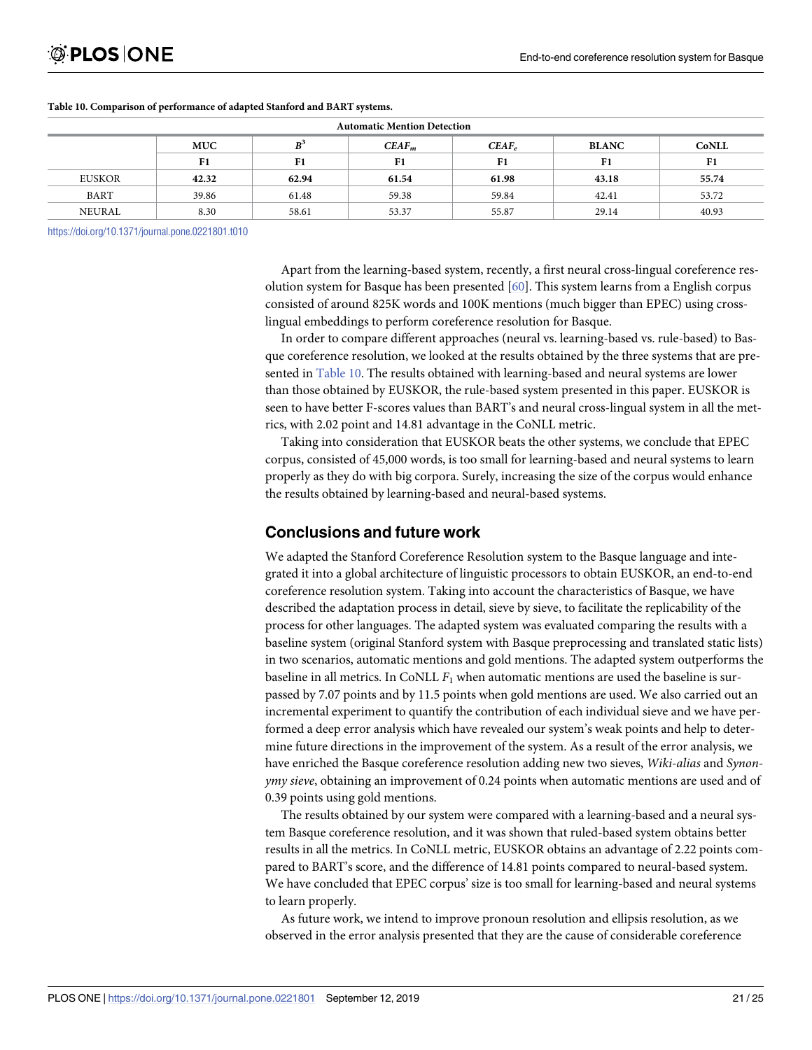|               | <b>Automatic Mention Detection</b>                                     |       |       |       |       |       |  |  |  |  |  |  |  |  |  |
|---------------|------------------------------------------------------------------------|-------|-------|-------|-------|-------|--|--|--|--|--|--|--|--|--|
|               | $B^3$<br><b>MUC</b><br><b>BLANC</b><br>CoNLL<br>$CEAF_{e}$<br>$CEAF_m$ |       |       |       |       |       |  |  |  |  |  |  |  |  |  |
|               | F1                                                                     | F1    | F1    | F1    | F1    | F1    |  |  |  |  |  |  |  |  |  |
| EUSKOR        | 42.32                                                                  | 62.94 | 61.54 | 61.98 | 43.18 | 55.74 |  |  |  |  |  |  |  |  |  |
| <b>BART</b>   | 39.86                                                                  | 61.48 | 59.38 | 59.84 | 42.41 | 53.72 |  |  |  |  |  |  |  |  |  |
| <b>NEURAL</b> | 8.30<br>58.61<br>53.37<br>55.87<br>40.93<br>29.14                      |       |       |       |       |       |  |  |  |  |  |  |  |  |  |

#### <span id="page-20-0"></span>**Table 10. Comparison of performance of adapted Stanford and BART systems.**

<https://doi.org/10.1371/journal.pone.0221801.t010>

Apart from the learning-based system, recently, a first neural cross-lingual coreference resolution system for Basque has been presented [\[60\]](#page-24-0). This system learns from a English corpus consisted of around 825K words and 100K mentions (much bigger than EPEC) using crosslingual embeddings to perform coreference resolution for Basque.

In order to compare different approaches (neural vs. learning-based vs. rule-based) to Basque coreference resolution, we looked at the results obtained by the three systems that are presented in Table 10. The results obtained with learning-based and neural systems are lower than those obtained by EUSKOR, the rule-based system presented in this paper. EUSKOR is seen to have better F-scores values than BART's and neural cross-lingual system in all the metrics, with 2.02 point and 14.81 advantage in the CoNLL metric.

Taking into consideration that EUSKOR beats the other systems, we conclude that EPEC corpus, consisted of 45,000 words, is too small for learning-based and neural systems to learn properly as they do with big corpora. Surely, increasing the size of the corpus would enhance the results obtained by learning-based and neural-based systems.

### **Conclusions and future work**

We adapted the Stanford Coreference Resolution system to the Basque language and integrated it into a global architecture of linguistic processors to obtain EUSKOR, an end-to-end coreference resolution system. Taking into account the characteristics of Basque, we have described the adaptation process in detail, sieve by sieve, to facilitate the replicability of the process for other languages. The adapted system was evaluated comparing the results with a baseline system (original Stanford system with Basque preprocessing and translated static lists) in two scenarios, automatic mentions and gold mentions. The adapted system outperforms the baseline in all metrics. In CoNLL  $F_1$  when automatic mentions are used the baseline is surpassed by 7.07 points and by 11.5 points when gold mentions are used. We also carried out an incremental experiment to quantify the contribution of each individual sieve and we have performed a deep error analysis which have revealed our system's weak points and help to determine future directions in the improvement of the system. As a result of the error analysis, we have enriched the Basque coreference resolution adding new two sieves, *Wiki-alias* and *Synonymy sieve*, obtaining an improvement of 0.24 points when automatic mentions are used and of 0.39 points using gold mentions.

The results obtained by our system were compared with a learning-based and a neural system Basque coreference resolution, and it was shown that ruled-based system obtains better results in all the metrics. In CoNLL metric, EUSKOR obtains an advantage of 2.22 points compared to BART's score, and the difference of 14.81 points compared to neural-based system. We have concluded that EPEC corpus' size is too small for learning-based and neural systems to learn properly.

As future work, we intend to improve pronoun resolution and ellipsis resolution, as we observed in the error analysis presented that they are the cause of considerable coreference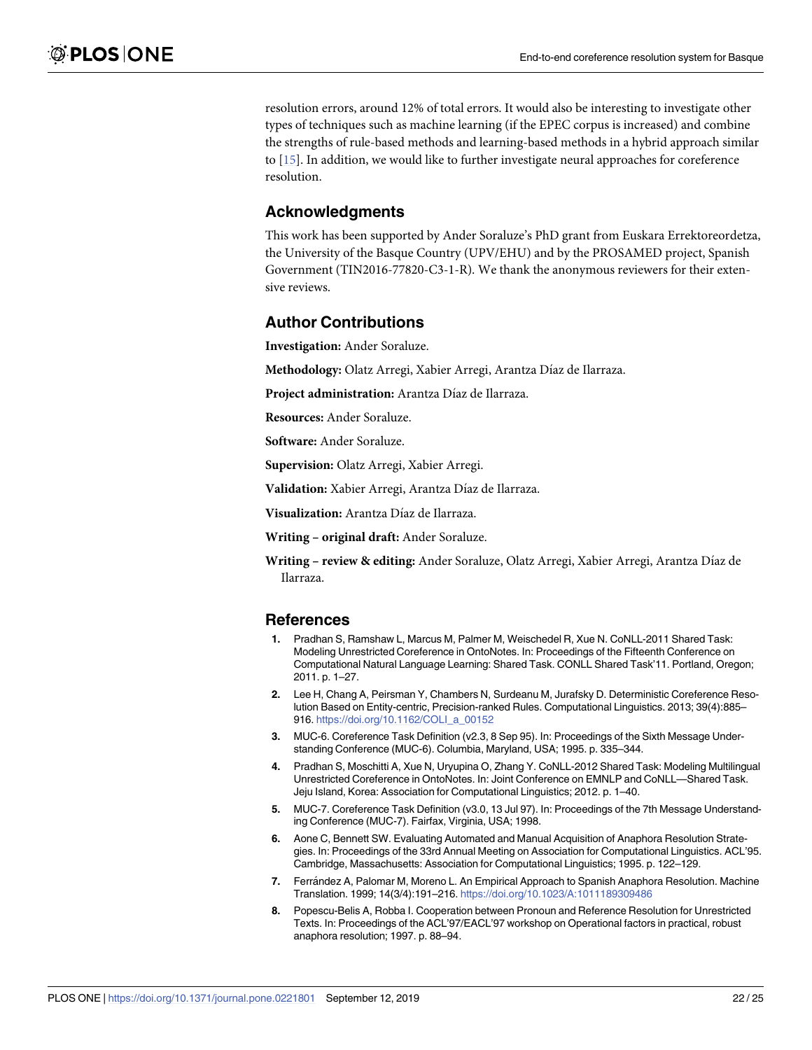<span id="page-21-0"></span>resolution errors, around 12% of total errors. It would also be interesting to investigate other types of techniques such as machine learning (if the EPEC corpus is increased) and combine the strengths of rule-based methods and learning-based methods in a hybrid approach similar to [[15](#page-22-0)]. In addition, we would like to further investigate neural approaches for coreference resolution.

#### **Acknowledgments**

This work has been supported by Ander Soraluze's PhD grant from Euskara Errektoreordetza, the University of the Basque Country (UPV/EHU) and by the PROSAMED project, Spanish Government (TIN2016-77820-C3-1-R). We thank the anonymous reviewers for their extensive reviews.

## **Author Contributions**

**Investigation:** Ander Soraluze.

Methodology: Olatz Arregi, Xabier Arregi, Arantza Díaz de Ilarraza.

Project administration: Arantza Díaz de Ilarraza.

**Resources:** Ander Soraluze.

**Software:** Ander Soraluze.

**Supervision:** Olatz Arregi, Xabier Arregi.

Validation: Xabier Arregi, Arantza Díaz de Ilarraza.

Visualization: Arantza Díaz de Ilarraza.

**Writing – original draft:** Ander Soraluze.

**Writing – review & editing:** Ander Soraluze, Olatz Arregi, Xabier Arregi, Arantza Dı´az de Ilarraza.

#### **References**

- **[1](#page-1-0).** Pradhan S, Ramshaw L, Marcus M, Palmer M, Weischedel R, Xue N. CoNLL-2011 Shared Task: Modeling Unrestricted Coreference in OntoNotes. In: Proceedings of the Fifteenth Conference on Computational Natural Language Learning: Shared Task. CONLL Shared Task'11. Portland, Oregon; 2011. p. 1–27.
- **[2](#page-1-0).** Lee H, Chang A, Peirsman Y, Chambers N, Surdeanu M, Jurafsky D. Deterministic Coreference Resolution Based on Entity-centric, Precision-ranked Rules. Computational Linguistics. 2013; 39(4):885– 916. [https://doi.org/10.1162/COLI\\_a\\_00152](https://doi.org/10.1162/COLI_a_00152)
- **[3](#page-1-0).** MUC-6. Coreference Task Definition (v2.3, 8 Sep 95). In: Proceedings of the Sixth Message Understanding Conference (MUC-6). Columbia, Maryland, USA; 1995. p. 335–344.
- **[4](#page-1-0).** Pradhan S, Moschitti A, Xue N, Uryupina O, Zhang Y. CoNLL-2012 Shared Task: Modeling Multilingual Unrestricted Coreference in OntoNotes. In: Joint Conference on EMNLP and CoNLL—Shared Task. Jeju Island, Korea: Association for Computational Linguistics; 2012. p. 1–40.
- **[5](#page-1-0).** MUC-7. Coreference Task Definition (v3.0, 13 Jul 97). In: Proceedings of the 7th Message Understanding Conference (MUC-7). Fairfax, Virginia, USA; 1998.
- **[6](#page-1-0).** Aone C, Bennett SW. Evaluating Automated and Manual Acquisition of Anaphora Resolution Strategies. In: Proceedings of the 33rd Annual Meeting on Association for Computational Linguistics. ACL'95. Cambridge, Massachusetts: Association for Computational Linguistics; 1995. p. 122–129.
- **[7](#page-1-0).** Ferra´ndez A, Palomar M, Moreno L. An Empirical Approach to Spanish Anaphora Resolution. Machine Translation. 1999; 14(3/4):191–216. <https://doi.org/10.1023/A:1011189309486>
- **[8](#page-1-0).** Popescu-Belis A, Robba I. Cooperation between Pronoun and Reference Resolution for Unrestricted Texts. In: Proceedings of the ACL'97/EACL'97 workshop on Operational factors in practical, robust anaphora resolution; 1997. p. 88–94.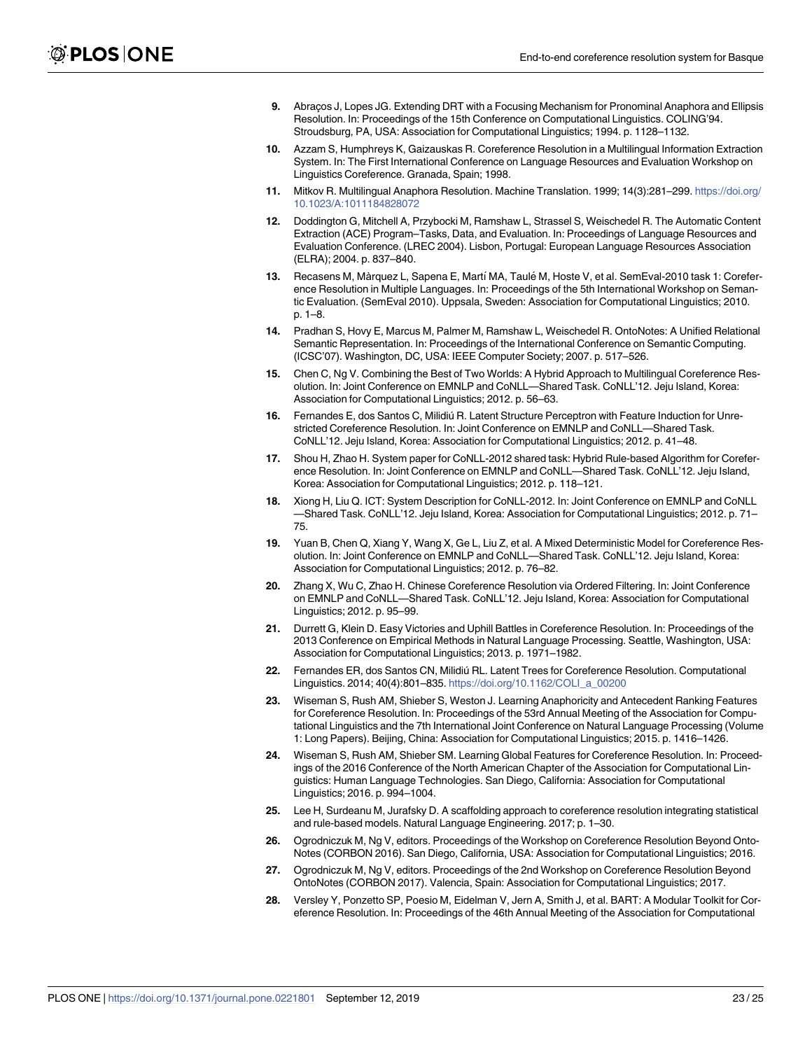- <span id="page-22-0"></span>**[9](#page-1-0).** Abraços J, Lopes JG. Extending DRT with a Focusing Mechanism for Pronominal Anaphora and Ellipsis Resolution. In: Proceedings of the 15th Conference on Computational Linguistics. COLING'94. Stroudsburg, PA, USA: Association for Computational Linguistics; 1994. p. 1128–1132.
- **[10](#page-1-0).** Azzam S, Humphreys K, Gaizauskas R. Coreference Resolution in a Multilingual Information Extraction System. In: The First International Conference on Language Resources and Evaluation Workshop on Linguistics Coreference. Granada, Spain; 1998.
- **[11](#page-1-0).** Mitkov R. Multilingual Anaphora Resolution. Machine Translation. 1999; 14(3):281–299. [https://doi.org/](https://doi.org/10.1023/A:1011184828072) [10.1023/A:1011184828072](https://doi.org/10.1023/A:1011184828072)
- **[12](#page-1-0).** Doddington G, Mitchell A, Przybocki M, Ramshaw L, Strassel S, Weischedel R. The Automatic Content Extraction (ACE) Program–Tasks, Data, and Evaluation. In: Proceedings of Language Resources and Evaluation Conference. (LREC 2004). Lisbon, Portugal: European Language Resources Association (ELRA); 2004. p. 837–840.
- Recasens M, Màrquez L, Sapena E, Martí MA, Taulé M, Hoste V, et al. SemEval-2010 task 1: Coreference Resolution in Multiple Languages. In: Proceedings of the 5th International Workshop on Semantic Evaluation. (SemEval 2010). Uppsala, Sweden: Association for Computational Linguistics; 2010. p. 1–8.
- **[14](#page-1-0).** Pradhan S, Hovy E, Marcus M, Palmer M, Ramshaw L, Weischedel R. OntoNotes: A Unified Relational Semantic Representation. In: Proceedings of the International Conference on Semantic Computing. (ICSC'07). Washington, DC, USA: IEEE Computer Society; 2007. p. 517–526.
- **[15](#page-1-0).** Chen C, Ng V. Combining the Best of Two Worlds: A Hybrid Approach to Multilingual Coreference Resolution. In: Joint Conference on EMNLP and CoNLL—Shared Task. CoNLL'12. Jeju Island, Korea: Association for Computational Linguistics; 2012. p. 56–63.
- [16](#page-2-0). Fernandes E, dos Santos C, Milidiú R. Latent Structure Perceptron with Feature Induction for Unrestricted Coreference Resolution. In: Joint Conference on EMNLP and CoNLL—Shared Task. CoNLL'12. Jeju Island, Korea: Association for Computational Linguistics; 2012. p. 41–48.
- **17.** Shou H, Zhao H. System paper for CoNLL-2012 shared task: Hybrid Rule-based Algorithm for Coreference Resolution. In: Joint Conference on EMNLP and CoNLL—Shared Task. CoNLL'12. Jeju Island, Korea: Association for Computational Linguistics; 2012. p. 118–121.
- **18.** Xiong H, Liu Q. ICT: System Description for CoNLL-2012. In: Joint Conference on EMNLP and CoNLL —Shared Task. CoNLL'12. Jeju Island, Korea: Association for Computational Linguistics; 2012. p. 71– 75.
- **19.** Yuan B, Chen Q, Xiang Y, Wang X, Ge L, Liu Z, et al. A Mixed Deterministic Model for Coreference Resolution. In: Joint Conference on EMNLP and CoNLL—Shared Task. CoNLL'12. Jeju Island, Korea: Association for Computational Linguistics; 2012. p. 76–82.
- **[20](#page-1-0).** Zhang X, Wu C, Zhao H. Chinese Coreference Resolution via Ordered Filtering. In: Joint Conference on EMNLP and CoNLL—Shared Task. CoNLL'12. Jeju Island, Korea: Association for Computational Linguistics; 2012. p. 95–99.
- **[21](#page-2-0).** Durrett G, Klein D. Easy Victories and Uphill Battles in Coreference Resolution. In: Proceedings of the 2013 Conference on Empirical Methods in Natural Language Processing. Seattle, Washington, USA: Association for Computational Linguistics; 2013. p. 1971–1982.
- **[22](#page-2-0).** Fernandes ER, dos Santos CN, Milidiu´ RL. Latent Trees for Coreference Resolution. Computational Linguistics. 2014; 40(4):801–835. [https://doi.org/10.1162/COLI\\_a\\_00200](https://doi.org/10.1162/COLI_a_00200)
- **[23](#page-2-0).** Wiseman S, Rush AM, Shieber S, Weston J. Learning Anaphoricity and Antecedent Ranking Features for Coreference Resolution. In: Proceedings of the 53rd Annual Meeting of the Association for Computational Linguistics and the 7th International Joint Conference on Natural Language Processing (Volume 1: Long Papers). Beijing, China: Association for Computational Linguistics; 2015. p. 1416–1426.
- **[24](#page-2-0).** Wiseman S, Rush AM, Shieber SM. Learning Global Features for Coreference Resolution. In: Proceedings of the 2016 Conference of the North American Chapter of the Association for Computational Linguistics: Human Language Technologies. San Diego, California: Association for Computational Linguistics; 2016. p. 994–1004.
- **[25](#page-2-0).** Lee H, Surdeanu M, Jurafsky D. A scaffolding approach to coreference resolution integrating statistical and rule-based models. Natural Language Engineering. 2017; p. 1–30.
- **[26](#page-2-0).** Ogrodniczuk M, Ng V, editors. Proceedings of the Workshop on Coreference Resolution Beyond Onto-Notes (CORBON 2016). San Diego, California, USA: Association for Computational Linguistics; 2016.
- **[27](#page-2-0).** Ogrodniczuk M, Ng V, editors. Proceedings of the 2nd Workshop on Coreference Resolution Beyond OntoNotes (CORBON 2017). Valencia, Spain: Association for Computational Linguistics; 2017.
- **[28](#page-2-0).** Versley Y, Ponzetto SP, Poesio M, Eidelman V, Jern A, Smith J, et al. BART: A Modular Toolkit for Coreference Resolution. In: Proceedings of the 46th Annual Meeting of the Association for Computational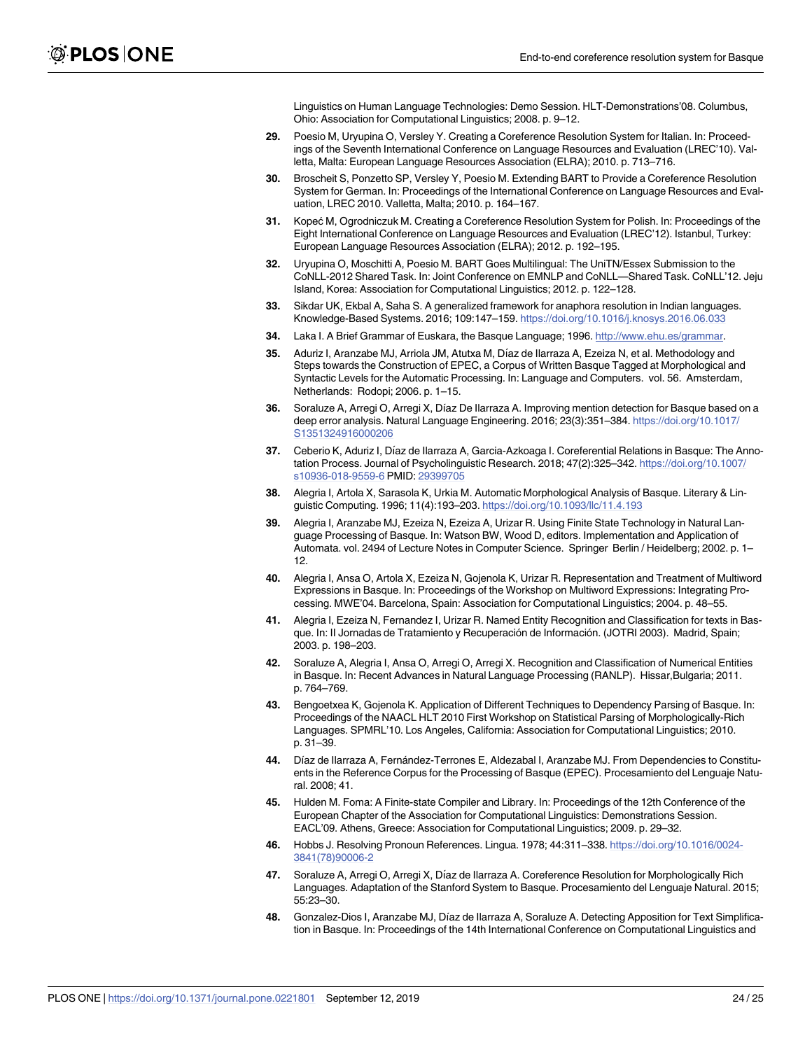Linguistics on Human Language Technologies: Demo Session. HLT-Demonstrations'08. Columbus, Ohio: Association for Computational Linguistics; 2008. p. 9–12.

- <span id="page-23-0"></span>**[29](#page-2-0).** Poesio M, Uryupina O, Versley Y. Creating a Coreference Resolution System for Italian. In: Proceedings of the Seventh International Conference on Language Resources and Evaluation (LREC'10). Valletta, Malta: European Language Resources Association (ELRA); 2010. p. 713–716.
- **[30](#page-2-0).** Broscheit S, Ponzetto SP, Versley Y, Poesio M. Extending BART to Provide a Coreference Resolution System for German. In: Proceedings of the International Conference on Language Resources and Evaluation, LREC 2010. Valletta, Malta; 2010. p. 164–167.
- **[31](#page-2-0).** Kopeć M, Ogrodniczuk M. Creating a Coreference Resolution System for Polish. In: Proceedings of the Eight International Conference on Language Resources and Evaluation (LREC'12). Istanbul, Turkey: European Language Resources Association (ELRA); 2012. p. 192–195.
- **[32](#page-2-0).** Uryupina O, Moschitti A, Poesio M. BART Goes Multilingual: The UniTN/Essex Submission to the CoNLL-2012 Shared Task. In: Joint Conference on EMNLP and CoNLL—Shared Task. CoNLL'12. Jeju Island, Korea: Association for Computational Linguistics; 2012. p. 122–128.
- **[33](#page-2-0).** Sikdar UK, Ekbal A, Saha S. A generalized framework for anaphora resolution in Indian languages. Knowledge-Based Systems. 2016; 109:147–159. <https://doi.org/10.1016/j.knosys.2016.06.033>
- **[34](#page-2-0).** Laka I. A Brief Grammar of Euskara, the Basque Language; 1996. <http://www.ehu.es/grammar>.
- **[35](#page-3-0).** Aduriz I, Aranzabe MJ, Arriola JM, Atutxa M, Díaz de Ilarraza A, Ezeiza N, et al. Methodology and Steps towards the Construction of EPEC, a Corpus of Written Basque Tagged at Morphological and Syntactic Levels for the Automatic Processing. In: Language and Computers. vol. 56. Amsterdam, Netherlands: Rodopi; 2006. p. 1–15.
- **[36](#page-3-0).** Soraluze A, Arregi O, Arregi X, Díaz De Ilarraza A. Improving mention detection for Basque based on a deep error analysis. Natural Language Engineering. 2016; 23(3):351–384. [https://doi.org/10.1017/](https://doi.org/10.1017/S1351324916000206) [S1351324916000206](https://doi.org/10.1017/S1351324916000206)
- **[37](#page-3-0).** Ceberio K, Aduriz I, Díaz de Ilarraza A, Garcia-Azkoaga I. Coreferential Relations in Basque: The Annotation Process. Journal of Psycholinguistic Research. 2018; 47(2):325–342. [https://doi.org/10.1007/](https://doi.org/10.1007/s10936-018-9559-6) [s10936-018-9559-6](https://doi.org/10.1007/s10936-018-9559-6) PMID: [29399705](http://www.ncbi.nlm.nih.gov/pubmed/29399705)
- **[38](#page-5-0).** Alegria I, Artola X, Sarasola K, Urkia M. Automatic Morphological Analysis of Basque. Literary & Linguistic Computing. 1996; 11(4):193–203. <https://doi.org/10.1093/llc/11.4.193>
- **[39](#page-5-0).** Alegria I, Aranzabe MJ, Ezeiza N, Ezeiza A, Urizar R. Using Finite State Technology in Natural Language Processing of Basque. In: Watson BW, Wood D, editors. Implementation and Application of Automata. vol. 2494 of Lecture Notes in Computer Science. Springer Berlin / Heidelberg; 2002. p. 1– 12.
- **[40](#page-5-0).** Alegria I, Ansa O, Artola X, Ezeiza N, Gojenola K, Urizar R. Representation and Treatment of Multiword Expressions in Basque. In: Proceedings of the Workshop on Multiword Expressions: Integrating Processing. MWE'04. Barcelona, Spain: Association for Computational Linguistics; 2004. p. 48–55.
- **[41](#page-5-0).** Alegria I, Ezeiza N, Fernandez I, Urizar R. Named Entity Recognition and Classification for texts in Basque. In: II Jornadas de Tratamiento y Recuperación de Información. (JOTRI 2003). Madrid, Spain; 2003. p. 198–203.
- **[42](#page-5-0).** Soraluze A, Alegria I, Ansa O, Arregi O, Arregi X. Recognition and Classification of Numerical Entities in Basque. In: Recent Advances in Natural Language Processing (RANLP). Hissar, Bulgaria; 2011. p. 764–769.
- **[43](#page-5-0).** Bengoetxea K, Gojenola K. Application of Different Techniques to Dependency Parsing of Basque. In: Proceedings of the NAACL HLT 2010 First Workshop on Statistical Parsing of Morphologically-Rich Languages. SPMRL'10. Los Angeles, California: Association for Computational Linguistics; 2010. p. 31–39.
- **[44](#page-5-0).** Dı´az de Ilarraza A, Ferna´ndez-Terrones E, Aldezabal I, Aranzabe MJ. From Dependencies to Constituents in the Reference Corpus for the Processing of Basque (EPEC). Procesamiento del Lenguaje Natural. 2008; 41.
- **[45](#page-6-0).** Hulden M. Foma: A Finite-state Compiler and Library. In: Proceedings of the 12th Conference of the European Chapter of the Association for Computational Linguistics: Demonstrations Session. EACL'09. Athens, Greece: Association for Computational Linguistics; 2009. p. 29–32.
- **[46](#page-6-0).** Hobbs J. Resolving Pronoun References. Lingua. 1978; 44:311–338. [https://doi.org/10.1016/0024-](https://doi.org/10.1016/0024-3841(78)90006-2) [3841\(78\)90006-2](https://doi.org/10.1016/0024-3841(78)90006-2)
- **[47](#page-6-0).** Soraluze A, Arregi O, Arregi X, Dı´az de Ilarraza A. Coreference Resolution for Morphologically Rich Languages. Adaptation of the Stanford System to Basque. Procesamiento del Lenguaje Natural. 2015; 55:23–30.
- **[48](#page-9-0).** Gonzalez-Dios I, Aranzabe MJ, Dı´az de Ilarraza A, Soraluze A. Detecting Apposition for Text Simplification in Basque. In: Proceedings of the 14th International Conference on Computational Linguistics and